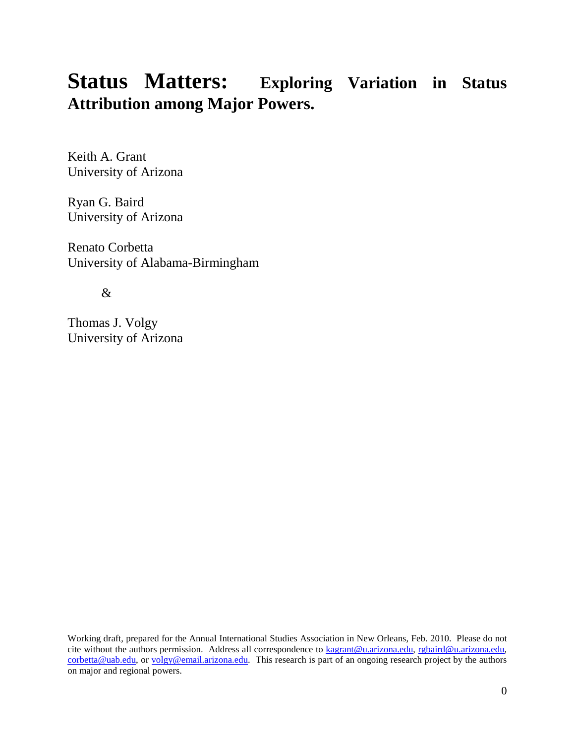# **Status Matters: Exploring Variation in Status Attribution among Major Powers.**

Keith A. Grant University of Arizona

Ryan G. Baird University of Arizona

Renato Corbetta University of Alabama-Birmingham

&

Thomas J. Volgy University of Arizona

Working draft, prepared for the Annual International Studies Association in New Orleans, Feb. 2010. Please do not cite without the authors permission. Address all correspondence to [kagrant@u.arizona.edu,](mailto:kagrant@u.arizona.edu) [rgbaird@u.arizona.edu,](mailto:rgbaird@u.arizona.edu)  [corbetta@uab.edu,](mailto:corbetta@uab.edu) or [volgy@email.arizona.edu.](mailto:volgy@email.arizona.edu) This research is part of an ongoing research project by the authors on major and regional powers.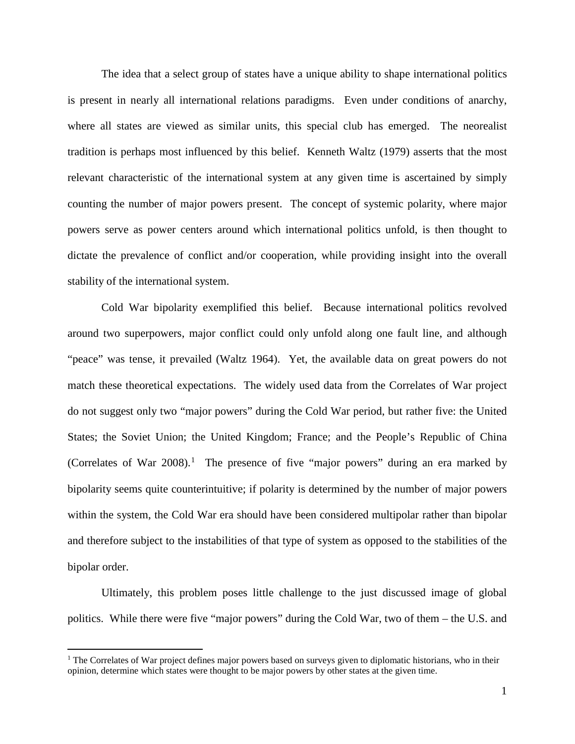The idea that a select group of states have a unique ability to shape international politics is present in nearly all international relations paradigms. Even under conditions of anarchy, where all states are viewed as similar units, this special club has emerged. The neorealist tradition is perhaps most influenced by this belief. Kenneth Waltz (1979) asserts that the most relevant characteristic of the international system at any given time is ascertained by simply counting the number of major powers present. The concept of systemic polarity, where major powers serve as power centers around which international politics unfold, is then thought to dictate the prevalence of conflict and/or cooperation, while providing insight into the overall stability of the international system.

Cold War bipolarity exemplified this belief. Because international politics revolved around two superpowers, major conflict could only unfold along one fault line, and although "peace" was tense, it prevailed (Waltz 1964). Yet, the available data on great powers do not match these theoretical expectations. The widely used data from the Correlates of War project do not suggest only two "major powers" during the Cold War period, but rather five: the United States; the Soviet Union; the United Kingdom; France; and the People's Republic of China (Correlates of War  $2008$ ).<sup>[1](#page-1-0)</sup> The presence of five "major powers" during an era marked by bipolarity seems quite counterintuitive; if polarity is determined by the number of major powers within the system, the Cold War era should have been considered multipolar rather than bipolar and therefore subject to the instabilities of that type of system as opposed to the stabilities of the bipolar order.

Ultimately, this problem poses little challenge to the just discussed image of global politics. While there were five "major powers" during the Cold War, two of them – the U.S. and

<span id="page-1-0"></span> $1$  The Correlates of War project defines major powers based on surveys given to diplomatic historians, who in their opinion, determine which states were thought to be major powers by other states at the given time.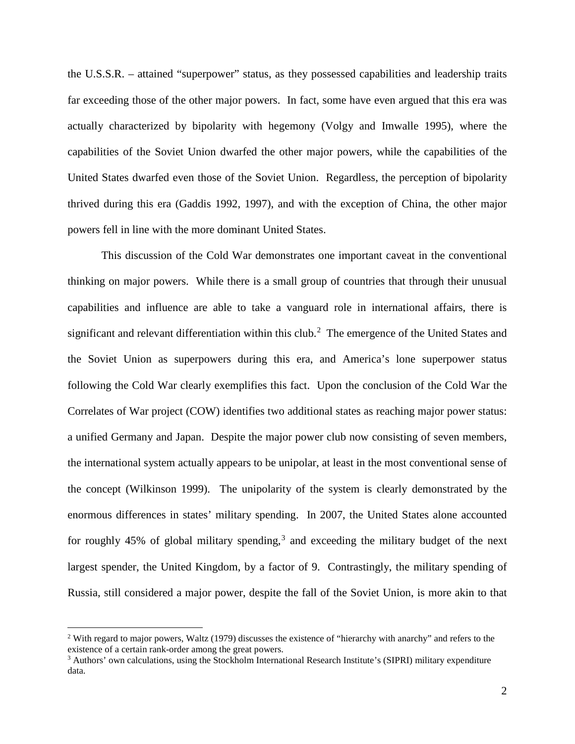the U.S.S.R. – attained "superpower" status, as they possessed capabilities and leadership traits far exceeding those of the other major powers. In fact, some have even argued that this era was actually characterized by bipolarity with hegemony (Volgy and Imwalle 1995), where the capabilities of the Soviet Union dwarfed the other major powers, while the capabilities of the United States dwarfed even those of the Soviet Union. Regardless, the perception of bipolarity thrived during this era (Gaddis 1992, 1997), and with the exception of China, the other major powers fell in line with the more dominant United States.

This discussion of the Cold War demonstrates one important caveat in the conventional thinking on major powers. While there is a small group of countries that through their unusual capabilities and influence are able to take a vanguard role in international affairs, there is significant and relevant differentiation within this club.<sup>[2](#page-2-0)</sup> The emergence of the United States and the Soviet Union as superpowers during this era, and America's lone superpower status following the Cold War clearly exemplifies this fact. Upon the conclusion of the Cold War the Correlates of War project (COW) identifies two additional states as reaching major power status: a unified Germany and Japan. Despite the major power club now consisting of seven members, the international system actually appears to be unipolar, at least in the most conventional sense of the concept (Wilkinson 1999). The unipolarity of the system is clearly demonstrated by the enormous differences in states' military spending. In 2007, the United States alone accounted for roughly  $45\%$  of global military spending,<sup>[3](#page-2-1)</sup> and exceeding the military budget of the next largest spender, the United Kingdom, by a factor of 9. Contrastingly, the military spending of Russia, still considered a major power, despite the fall of the Soviet Union, is more akin to that

<span id="page-2-0"></span><sup>&</sup>lt;sup>2</sup> With regard to major powers, Waltz (1979) discusses the existence of "hierarchy with anarchy" and refers to the existence of a certain rank-order among the great powers.

<span id="page-2-1"></span><sup>&</sup>lt;sup>3</sup> Authors' own calculations, using the Stockholm International Research Institute's (SIPRI) military expenditure data.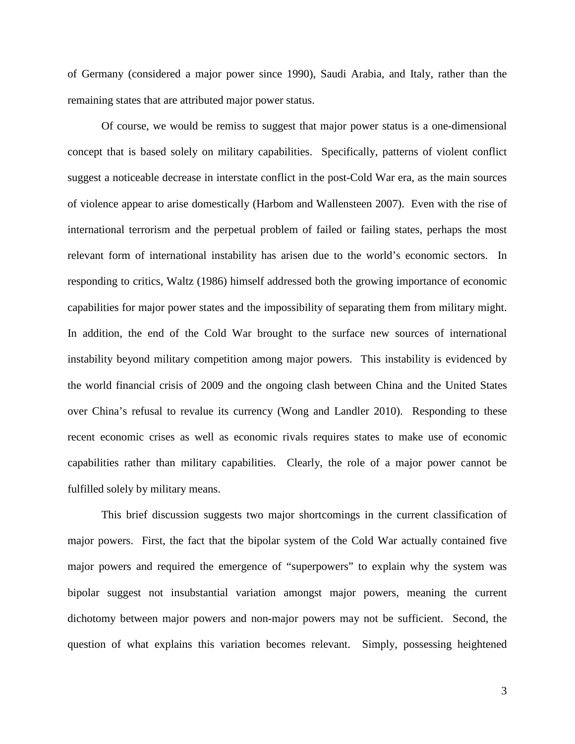of Germany (considered a major power since 1990), Saudi Arabia, and Italy, rather than the remaining states that are attributed major power status.

Of course, we would be remiss to suggest that major power status is a one-dimensional concept that is based solely on military capabilities. Specifically, patterns of violent conflict suggest a noticeable decrease in interstate conflict in the post-Cold War era, as the main sources of violence appear to arise domestically (Harbom and Wallensteen 2007). Even with the rise of international terrorism and the perpetual problem of failed or failing states, perhaps the most relevant form of international instability has arisen due to the world's economic sectors. In responding to critics, Waltz (1986) himself addressed both the growing importance of economic capabilities for major power states and the impossibility of separating them from military might. In addition, the end of the Cold War brought to the surface new sources of international instability beyond military competition among major powers. This instability is evidenced by the world financial crisis of 2009 and the ongoing clash between China and the United States over China's refusal to revalue its currency (Wong and Landler 2010). Responding to these recent economic crises as well as economic rivals requires states to make use of economic capabilities rather than military capabilities. Clearly, the role of a major power cannot be fulfilled solely by military means.

This brief discussion suggests two major shortcomings in the current classification of major powers. First, the fact that the bipolar system of the Cold War actually contained five major powers and required the emergence of "superpowers" to explain why the system was bipolar suggest not insubstantial variation amongst major powers, meaning the current dichotomy between major powers and non-major powers may not be sufficient. Second, the question of what explains this variation becomes relevant. Simply, possessing heightened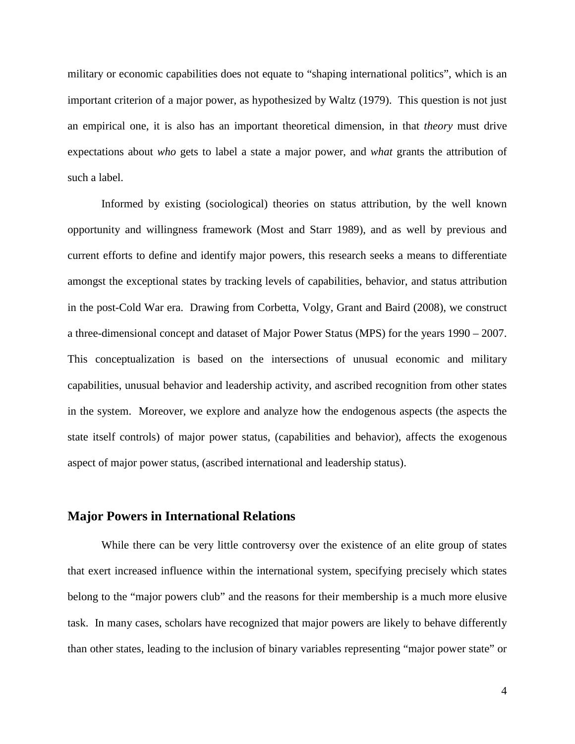military or economic capabilities does not equate to "shaping international politics", which is an important criterion of a major power, as hypothesized by Waltz (1979). This question is not just an empirical one, it is also has an important theoretical dimension, in that *theory* must drive expectations about *who* gets to label a state a major power, and *what* grants the attribution of such a label.

Informed by existing (sociological) theories on status attribution, by the well known opportunity and willingness framework (Most and Starr 1989), and as well by previous and current efforts to define and identify major powers, this research seeks a means to differentiate amongst the exceptional states by tracking levels of capabilities, behavior, and status attribution in the post-Cold War era. Drawing from Corbetta, Volgy, Grant and Baird (2008), we construct a three-dimensional concept and dataset of Major Power Status (MPS) for the years 1990 – 2007. This conceptualization is based on the intersections of unusual economic and military capabilities, unusual behavior and leadership activity, and ascribed recognition from other states in the system. Moreover, we explore and analyze how the endogenous aspects (the aspects the state itself controls) of major power status, (capabilities and behavior), affects the exogenous aspect of major power status, (ascribed international and leadership status).

# **Major Powers in International Relations**

While there can be very little controversy over the existence of an elite group of states that exert increased influence within the international system, specifying precisely which states belong to the "major powers club" and the reasons for their membership is a much more elusive task. In many cases, scholars have recognized that major powers are likely to behave differently than other states, leading to the inclusion of binary variables representing "major power state" or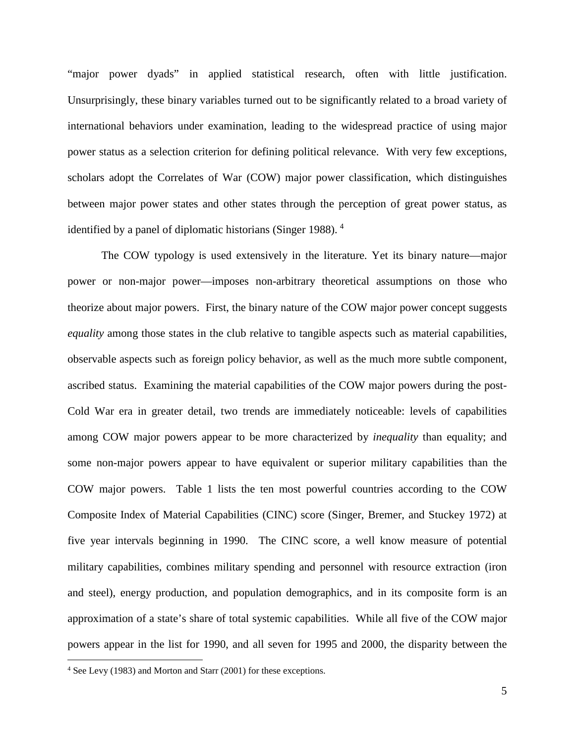"major power dyads" in applied statistical research, often with little justification. Unsurprisingly, these binary variables turned out to be significantly related to a broad variety of international behaviors under examination, leading to the widespread practice of using major power status as a selection criterion for defining political relevance. With very few exceptions, scholars adopt the Correlates of War (COW) major power classification, which distinguishes between major power states and other states through the perception of great power status, as identified by a panel of diplomatic historians (Singer 1988).<sup>[4](#page-5-0)</sup>

The COW typology is used extensively in the literature. Yet its binary nature—major power or non-major power—imposes non-arbitrary theoretical assumptions on those who theorize about major powers. First, the binary nature of the COW major power concept suggests *equality* among those states in the club relative to tangible aspects such as material capabilities, observable aspects such as foreign policy behavior, as well as the much more subtle component, ascribed status. Examining the material capabilities of the COW major powers during the post-Cold War era in greater detail, two trends are immediately noticeable: levels of capabilities among COW major powers appear to be more characterized by *inequality* than equality; and some non-major powers appear to have equivalent or superior military capabilities than the COW major powers. Table 1 lists the ten most powerful countries according to the COW Composite Index of Material Capabilities (CINC) score (Singer, Bremer, and Stuckey 1972) at five year intervals beginning in 1990. The CINC score, a well know measure of potential military capabilities, combines military spending and personnel with resource extraction (iron and steel), energy production, and population demographics, and in its composite form is an approximation of a state's share of total systemic capabilities. While all five of the COW major powers appear in the list for 1990, and all seven for 1995 and 2000, the disparity between the

<span id="page-5-0"></span> <sup>4</sup> See Levy (1983) and Morton and Starr (2001) for these exceptions.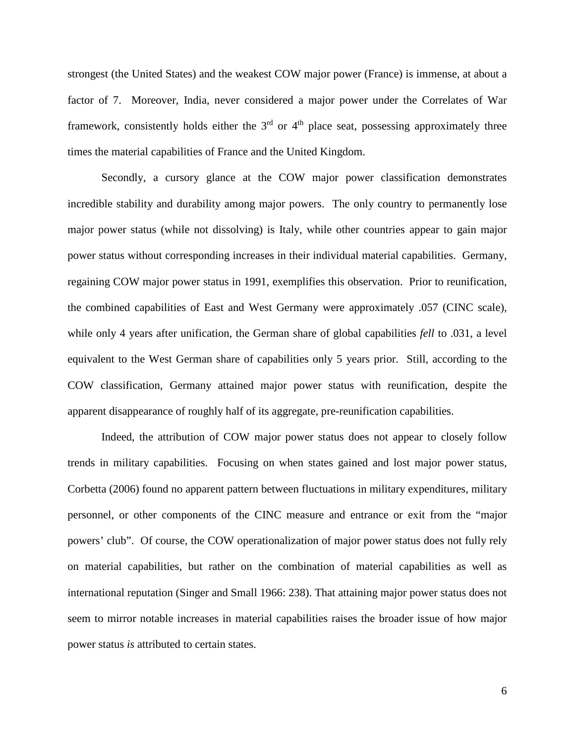strongest (the United States) and the weakest COW major power (France) is immense, at about a factor of 7. Moreover, India, never considered a major power under the Correlates of War framework, consistently holds either the  $3<sup>rd</sup>$  or  $4<sup>th</sup>$  place seat, possessing approximately three times the material capabilities of France and the United Kingdom.

Secondly, a cursory glance at the COW major power classification demonstrates incredible stability and durability among major powers. The only country to permanently lose major power status (while not dissolving) is Italy, while other countries appear to gain major power status without corresponding increases in their individual material capabilities. Germany, regaining COW major power status in 1991, exemplifies this observation. Prior to reunification, the combined capabilities of East and West Germany were approximately .057 (CINC scale), while only 4 years after unification, the German share of global capabilities *fell* to .031, a level equivalent to the West German share of capabilities only 5 years prior. Still, according to the COW classification, Germany attained major power status with reunification, despite the apparent disappearance of roughly half of its aggregate, pre-reunification capabilities.

Indeed, the attribution of COW major power status does not appear to closely follow trends in military capabilities. Focusing on when states gained and lost major power status, Corbetta (2006) found no apparent pattern between fluctuations in military expenditures, military personnel, or other components of the CINC measure and entrance or exit from the "major powers' club". Of course, the COW operationalization of major power status does not fully rely on material capabilities, but rather on the combination of material capabilities as well as international reputation (Singer and Small 1966: 238). That attaining major power status does not seem to mirror notable increases in material capabilities raises the broader issue of how major power status *is* attributed to certain states.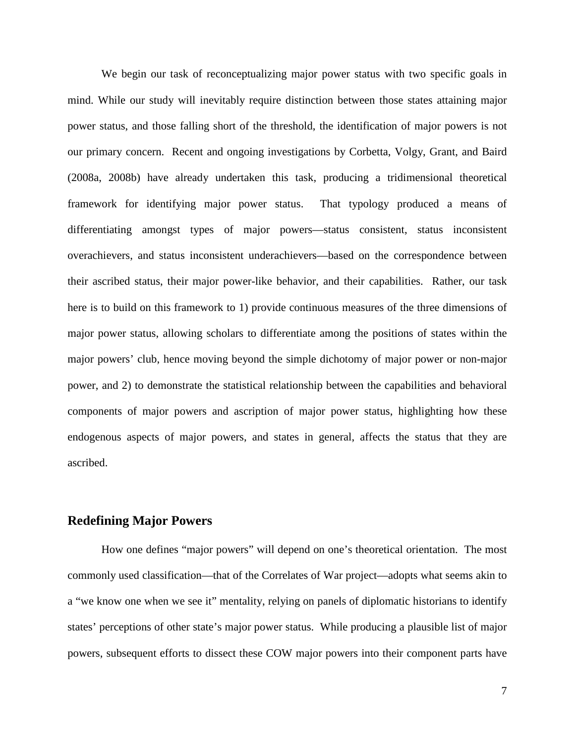We begin our task of reconceptualizing major power status with two specific goals in mind. While our study will inevitably require distinction between those states attaining major power status, and those falling short of the threshold, the identification of major powers is not our primary concern. Recent and ongoing investigations by Corbetta, Volgy, Grant, and Baird (2008a, 2008b) have already undertaken this task, producing a tridimensional theoretical framework for identifying major power status. That typology produced a means of differentiating amongst types of major powers—status consistent, status inconsistent overachievers, and status inconsistent underachievers—based on the correspondence between their ascribed status, their major power-like behavior, and their capabilities. Rather, our task here is to build on this framework to 1) provide continuous measures of the three dimensions of major power status, allowing scholars to differentiate among the positions of states within the major powers' club, hence moving beyond the simple dichotomy of major power or non-major power, and 2) to demonstrate the statistical relationship between the capabilities and behavioral components of major powers and ascription of major power status, highlighting how these endogenous aspects of major powers, and states in general, affects the status that they are ascribed.

# **Redefining Major Powers**

How one defines "major powers" will depend on one's theoretical orientation. The most commonly used classification—that of the Correlates of War project—adopts what seems akin to a "we know one when we see it" mentality, relying on panels of diplomatic historians to identify states' perceptions of other state's major power status. While producing a plausible list of major powers, subsequent efforts to dissect these COW major powers into their component parts have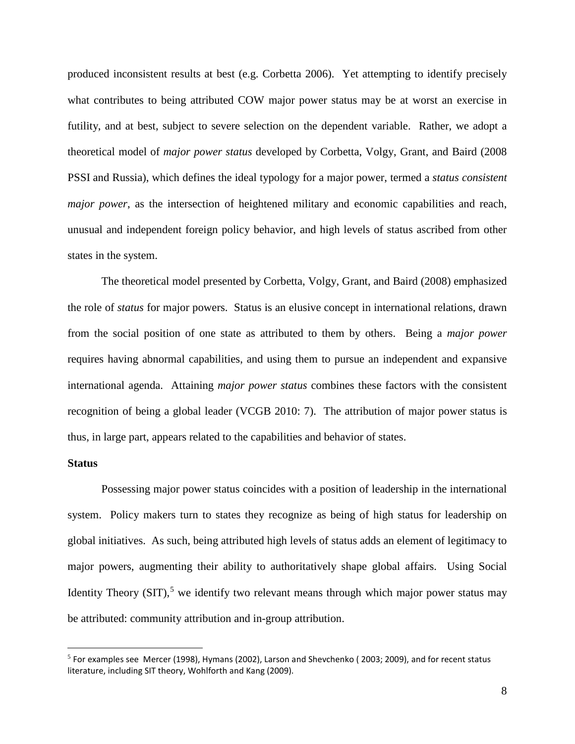produced inconsistent results at best (e.g. Corbetta 2006). Yet attempting to identify precisely what contributes to being attributed COW major power status may be at worst an exercise in futility, and at best, subject to severe selection on the dependent variable. Rather, we adopt a theoretical model of *major power status* developed by Corbetta, Volgy, Grant, and Baird (2008 PSSI and Russia), which defines the ideal typology for a major power, termed a *status consistent major power*, as the intersection of heightened military and economic capabilities and reach, unusual and independent foreign policy behavior, and high levels of status ascribed from other states in the system.

The theoretical model presented by Corbetta, Volgy, Grant, and Baird (2008) emphasized the role of *status* for major powers. Status is an elusive concept in international relations, drawn from the social position of one state as attributed to them by others. Being a *major power* requires having abnormal capabilities, and using them to pursue an independent and expansive international agenda. Attaining *major power status* combines these factors with the consistent recognition of being a global leader (VCGB 2010: 7). The attribution of major power status is thus, in large part, appears related to the capabilities and behavior of states.

## **Status**

Possessing major power status coincides with a position of leadership in the international system. Policy makers turn to states they recognize as being of high status for leadership on global initiatives. As such, being attributed high levels of status adds an element of legitimacy to major powers, augmenting their ability to authoritatively shape global affairs. Using Social Identity Theory (SIT),<sup>[5](#page-8-0)</sup> we identify two relevant means through which major power status may be attributed: community attribution and in-group attribution.

<span id="page-8-0"></span> $<sup>5</sup>$  For examples see Mercer (1998), Hymans (2002), Larson and Shevchenko (2003; 2009), and for recent status</sup> literature, including SIT theory, Wohlforth and Kang (2009).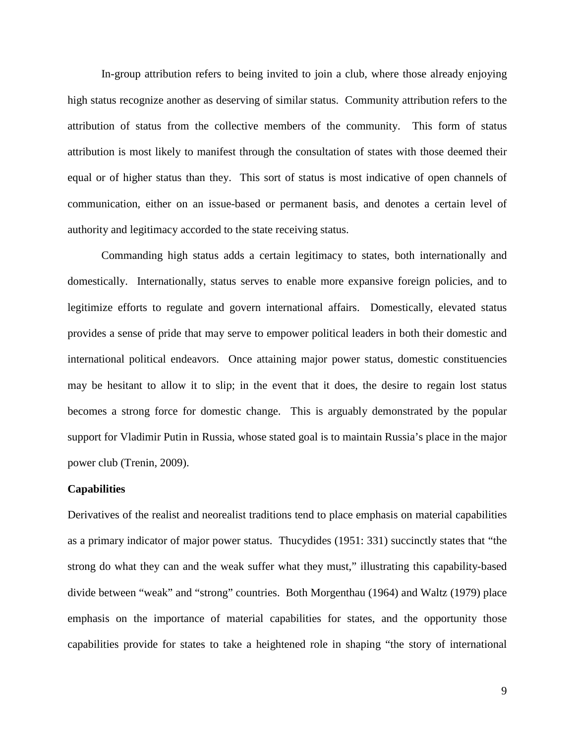In-group attribution refers to being invited to join a club, where those already enjoying high status recognize another as deserving of similar status. Community attribution refers to the attribution of status from the collective members of the community. This form of status attribution is most likely to manifest through the consultation of states with those deemed their equal or of higher status than they. This sort of status is most indicative of open channels of communication, either on an issue-based or permanent basis, and denotes a certain level of authority and legitimacy accorded to the state receiving status.

Commanding high status adds a certain legitimacy to states, both internationally and domestically. Internationally, status serves to enable more expansive foreign policies, and to legitimize efforts to regulate and govern international affairs. Domestically, elevated status provides a sense of pride that may serve to empower political leaders in both their domestic and international political endeavors. Once attaining major power status, domestic constituencies may be hesitant to allow it to slip; in the event that it does, the desire to regain lost status becomes a strong force for domestic change. This is arguably demonstrated by the popular support for Vladimir Putin in Russia, whose stated goal is to maintain Russia's place in the major power club (Trenin, 2009).

#### **Capabilities**

Derivatives of the realist and neorealist traditions tend to place emphasis on material capabilities as a primary indicator of major power status. Thucydides (1951: 331) succinctly states that "the strong do what they can and the weak suffer what they must," illustrating this capability-based divide between "weak" and "strong" countries. Both Morgenthau (1964) and Waltz (1979) place emphasis on the importance of material capabilities for states, and the opportunity those capabilities provide for states to take a heightened role in shaping "the story of international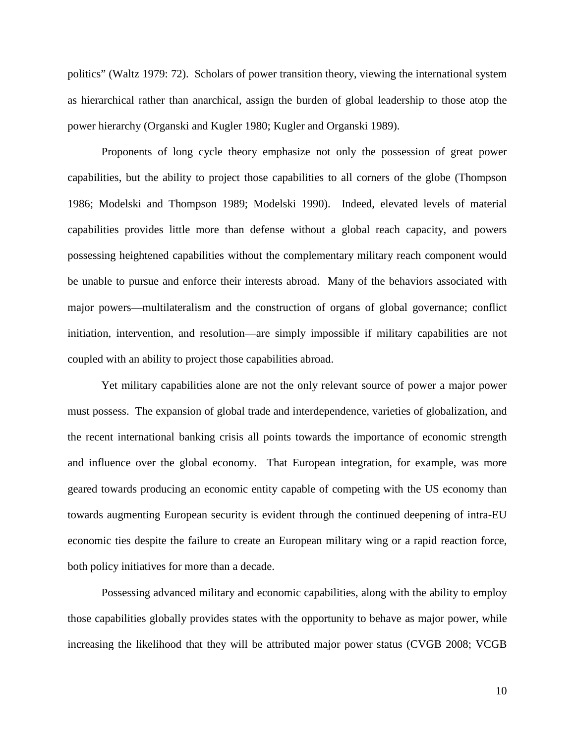politics" (Waltz 1979: 72). Scholars of power transition theory, viewing the international system as hierarchical rather than anarchical, assign the burden of global leadership to those atop the power hierarchy (Organski and Kugler 1980; Kugler and Organski 1989).

Proponents of long cycle theory emphasize not only the possession of great power capabilities, but the ability to project those capabilities to all corners of the globe (Thompson 1986; Modelski and Thompson 1989; Modelski 1990). Indeed, elevated levels of material capabilities provides little more than defense without a global reach capacity, and powers possessing heightened capabilities without the complementary military reach component would be unable to pursue and enforce their interests abroad. Many of the behaviors associated with major powers—multilateralism and the construction of organs of global governance; conflict initiation, intervention, and resolution—are simply impossible if military capabilities are not coupled with an ability to project those capabilities abroad.

Yet military capabilities alone are not the only relevant source of power a major power must possess. The expansion of global trade and interdependence, varieties of globalization, and the recent international banking crisis all points towards the importance of economic strength and influence over the global economy. That European integration, for example, was more geared towards producing an economic entity capable of competing with the US economy than towards augmenting European security is evident through the continued deepening of intra-EU economic ties despite the failure to create an European military wing or a rapid reaction force, both policy initiatives for more than a decade.

Possessing advanced military and economic capabilities, along with the ability to employ those capabilities globally provides states with the opportunity to behave as major power, while increasing the likelihood that they will be attributed major power status (CVGB 2008; VCGB

10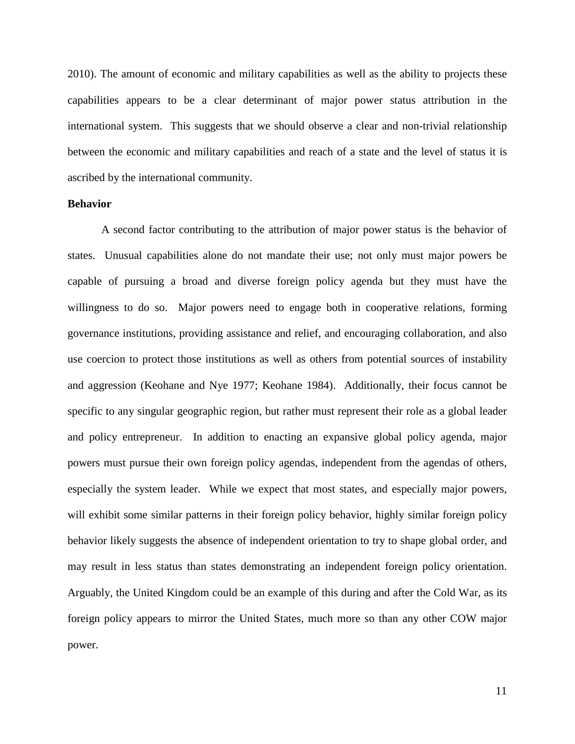2010). The amount of economic and military capabilities as well as the ability to projects these capabilities appears to be a clear determinant of major power status attribution in the international system. This suggests that we should observe a clear and non-trivial relationship between the economic and military capabilities and reach of a state and the level of status it is ascribed by the international community.

#### **Behavior**

A second factor contributing to the attribution of major power status is the behavior of states. Unusual capabilities alone do not mandate their use; not only must major powers be capable of pursuing a broad and diverse foreign policy agenda but they must have the willingness to do so. Major powers need to engage both in cooperative relations, forming governance institutions, providing assistance and relief, and encouraging collaboration, and also use coercion to protect those institutions as well as others from potential sources of instability and aggression (Keohane and Nye 1977; Keohane 1984). Additionally, their focus cannot be specific to any singular geographic region, but rather must represent their role as a global leader and policy entrepreneur. In addition to enacting an expansive global policy agenda, major powers must pursue their own foreign policy agendas, independent from the agendas of others, especially the system leader. While we expect that most states, and especially major powers, will exhibit some similar patterns in their foreign policy behavior, highly similar foreign policy behavior likely suggests the absence of independent orientation to try to shape global order, and may result in less status than states demonstrating an independent foreign policy orientation. Arguably, the United Kingdom could be an example of this during and after the Cold War, as its foreign policy appears to mirror the United States, much more so than any other COW major power.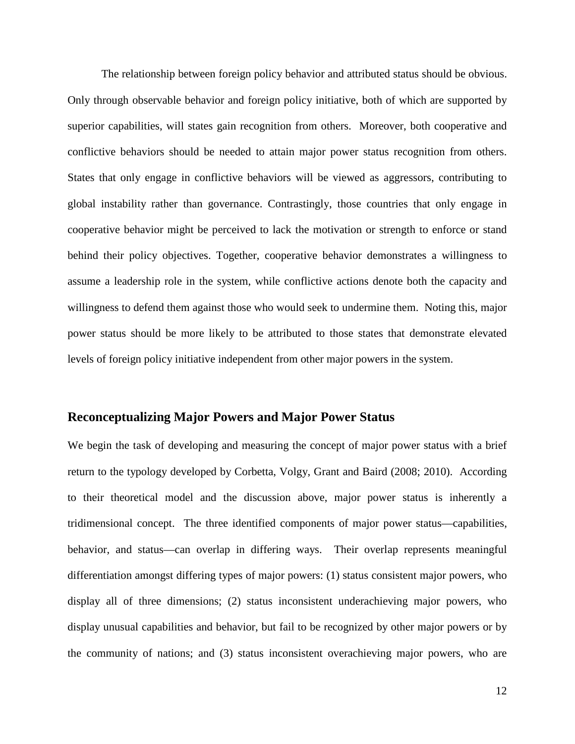The relationship between foreign policy behavior and attributed status should be obvious. Only through observable behavior and foreign policy initiative, both of which are supported by superior capabilities, will states gain recognition from others. Moreover, both cooperative and conflictive behaviors should be needed to attain major power status recognition from others. States that only engage in conflictive behaviors will be viewed as aggressors, contributing to global instability rather than governance. Contrastingly, those countries that only engage in cooperative behavior might be perceived to lack the motivation or strength to enforce or stand behind their policy objectives. Together, cooperative behavior demonstrates a willingness to assume a leadership role in the system, while conflictive actions denote both the capacity and willingness to defend them against those who would seek to undermine them. Noting this, major power status should be more likely to be attributed to those states that demonstrate elevated levels of foreign policy initiative independent from other major powers in the system.

## **Reconceptualizing Major Powers and Major Power Status**

We begin the task of developing and measuring the concept of major power status with a brief return to the typology developed by Corbetta, Volgy, Grant and Baird (2008; 2010). According to their theoretical model and the discussion above, major power status is inherently a tridimensional concept. The three identified components of major power status—capabilities, behavior, and status—can overlap in differing ways. Their overlap represents meaningful differentiation amongst differing types of major powers: (1) status consistent major powers, who display all of three dimensions; (2) status inconsistent underachieving major powers, who display unusual capabilities and behavior, but fail to be recognized by other major powers or by the community of nations; and (3) status inconsistent overachieving major powers, who are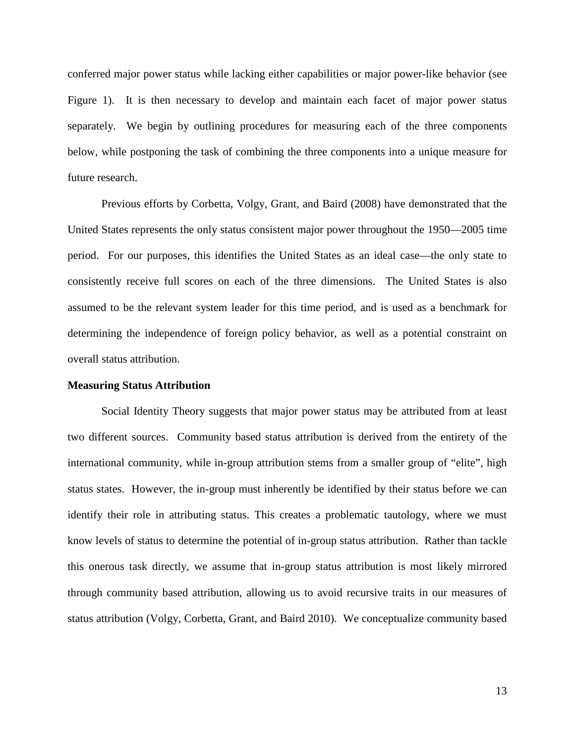conferred major power status while lacking either capabilities or major power-like behavior (see Figure 1). It is then necessary to develop and maintain each facet of major power status separately. We begin by outlining procedures for measuring each of the three components below, while postponing the task of combining the three components into a unique measure for future research.

Previous efforts by Corbetta, Volgy, Grant, and Baird (2008) have demonstrated that the United States represents the only status consistent major power throughout the 1950—2005 time period. For our purposes, this identifies the United States as an ideal case—the only state to consistently receive full scores on each of the three dimensions. The United States is also assumed to be the relevant system leader for this time period, and is used as a benchmark for determining the independence of foreign policy behavior, as well as a potential constraint on overall status attribution.

#### **Measuring Status Attribution**

Social Identity Theory suggests that major power status may be attributed from at least two different sources. Community based status attribution is derived from the entirety of the international community, while in-group attribution stems from a smaller group of "elite", high status states. However, the in-group must inherently be identified by their status before we can identify their role in attributing status. This creates a problematic tautology, where we must know levels of status to determine the potential of in-group status attribution. Rather than tackle this onerous task directly, we assume that in-group status attribution is most likely mirrored through community based attribution, allowing us to avoid recursive traits in our measures of status attribution (Volgy, Corbetta, Grant, and Baird 2010). We conceptualize community based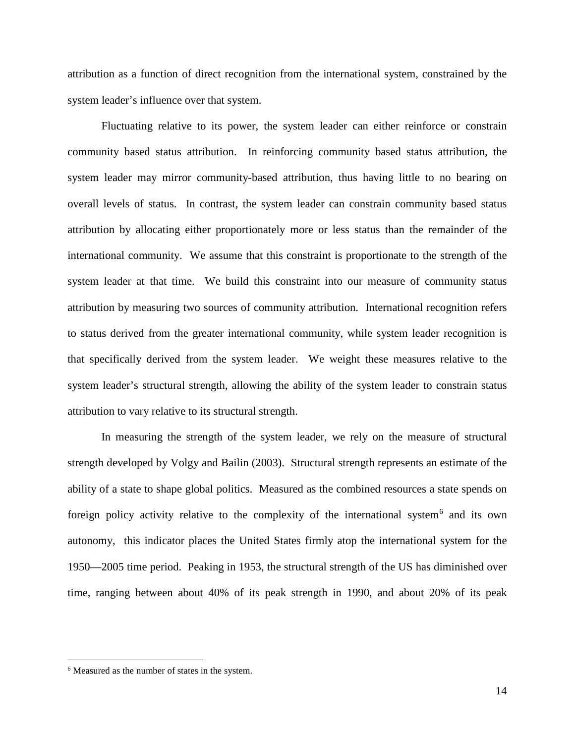attribution as a function of direct recognition from the international system, constrained by the system leader's influence over that system.

Fluctuating relative to its power, the system leader can either reinforce or constrain community based status attribution. In reinforcing community based status attribution, the system leader may mirror community-based attribution, thus having little to no bearing on overall levels of status. In contrast, the system leader can constrain community based status attribution by allocating either proportionately more or less status than the remainder of the international community. We assume that this constraint is proportionate to the strength of the system leader at that time. We build this constraint into our measure of community status attribution by measuring two sources of community attribution. International recognition refers to status derived from the greater international community, while system leader recognition is that specifically derived from the system leader. We weight these measures relative to the system leader's structural strength, allowing the ability of the system leader to constrain status attribution to vary relative to its structural strength.

In measuring the strength of the system leader, we rely on the measure of structural strength developed by Volgy and Bailin (2003). Structural strength represents an estimate of the ability of a state to shape global politics. Measured as the combined resources a state spends on foreign policy activity relative to the complexity of the international system<sup>[6](#page-14-0)</sup> and its own autonomy, this indicator places the United States firmly atop the international system for the 1950—2005 time period. Peaking in 1953, the structural strength of the US has diminished over time, ranging between about 40% of its peak strength in 1990, and about 20% of its peak

<span id="page-14-0"></span> <sup>6</sup> Measured as the number of states in the system.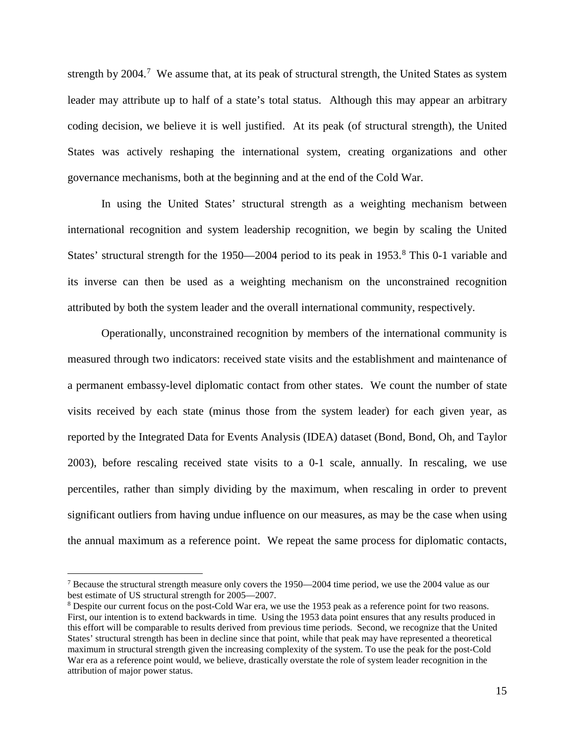strength by 2004.<sup>[7](#page-15-0)</sup> We assume that, at its peak of structural strength, the United States as system leader may attribute up to half of a state's total status. Although this may appear an arbitrary coding decision, we believe it is well justified. At its peak (of structural strength), the United States was actively reshaping the international system, creating organizations and other governance mechanisms, both at the beginning and at the end of the Cold War.

In using the United States' structural strength as a weighting mechanism between international recognition and system leadership recognition, we begin by scaling the United States' structural strength for the  $1950-2004$  period to its peak in  $1953<sup>8</sup>$  $1953<sup>8</sup>$  $1953<sup>8</sup>$ . This 0-1 variable and its inverse can then be used as a weighting mechanism on the unconstrained recognition attributed by both the system leader and the overall international community, respectively.

Operationally, unconstrained recognition by members of the international community is measured through two indicators: received state visits and the establishment and maintenance of a permanent embassy-level diplomatic contact from other states. We count the number of state visits received by each state (minus those from the system leader) for each given year, as reported by the Integrated Data for Events Analysis (IDEA) dataset (Bond, Bond, Oh, and Taylor 2003), before rescaling received state visits to a 0-1 scale, annually. In rescaling, we use percentiles, rather than simply dividing by the maximum, when rescaling in order to prevent significant outliers from having undue influence on our measures, as may be the case when using the annual maximum as a reference point. We repeat the same process for diplomatic contacts,

<span id="page-15-0"></span> <sup>7</sup> Because the structural strength measure only covers the 1950—2004 time period, we use the 2004 value as our best estimate of US structural strength for 2005—2007.

<span id="page-15-1"></span><sup>8</sup> Despite our current focus on the post-Cold War era, we use the 1953 peak as a reference point for two reasons. First, our intention is to extend backwards in time. Using the 1953 data point ensures that any results produced in this effort will be comparable to results derived from previous time periods. Second, we recognize that the United States' structural strength has been in decline since that point, while that peak may have represented a theoretical maximum in structural strength given the increasing complexity of the system. To use the peak for the post-Cold War era as a reference point would, we believe, drastically overstate the role of system leader recognition in the attribution of major power status.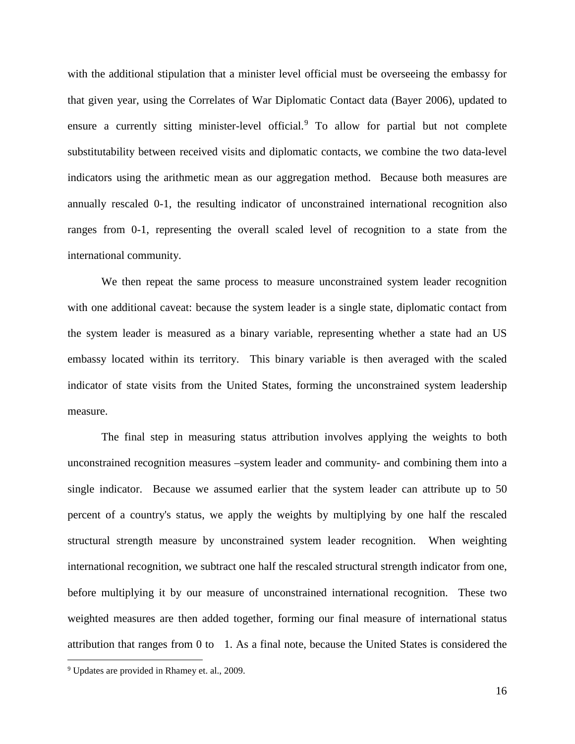with the additional stipulation that a minister level official must be overseeing the embassy for that given year, using the Correlates of War Diplomatic Contact data (Bayer 2006), updated to ensure a currently sitting minister-level official.<sup>[9](#page-16-0)</sup> To allow for partial but not complete substitutability between received visits and diplomatic contacts, we combine the two data-level indicators using the arithmetic mean as our aggregation method. Because both measures are annually rescaled 0-1, the resulting indicator of unconstrained international recognition also ranges from 0-1, representing the overall scaled level of recognition to a state from the international community.

We then repeat the same process to measure unconstrained system leader recognition with one additional caveat: because the system leader is a single state, diplomatic contact from the system leader is measured as a binary variable, representing whether a state had an US embassy located within its territory. This binary variable is then averaged with the scaled indicator of state visits from the United States, forming the unconstrained system leadership measure.

The final step in measuring status attribution involves applying the weights to both unconstrained recognition measures –system leader and community- and combining them into a single indicator. Because we assumed earlier that the system leader can attribute up to 50 percent of a country's status, we apply the weights by multiplying by one half the rescaled structural strength measure by unconstrained system leader recognition. When weighting international recognition, we subtract one half the rescaled structural strength indicator from one, before multiplying it by our measure of unconstrained international recognition. These two weighted measures are then added together, forming our final measure of international status attribution that ranges from 0 to 1. As a final note, because the United States is considered the

<span id="page-16-0"></span> <sup>9</sup> Updates are provided in Rhamey et. al., 2009.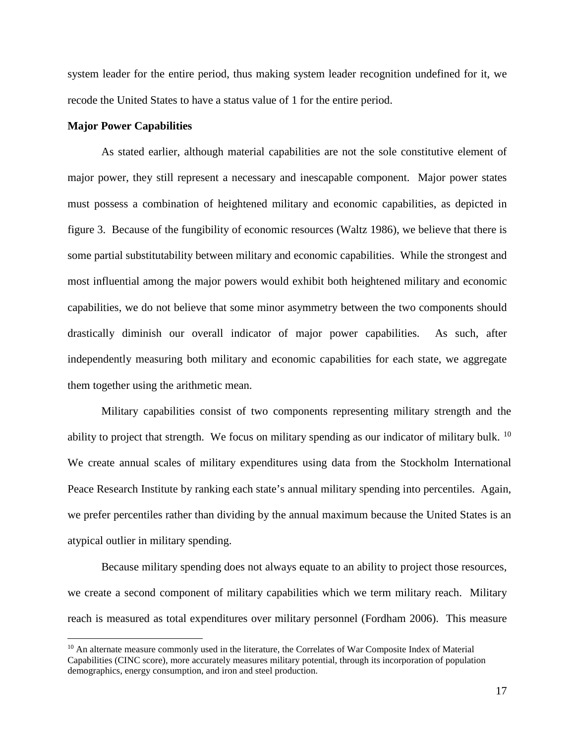system leader for the entire period, thus making system leader recognition undefined for it, we recode the United States to have a status value of 1 for the entire period.

#### **Major Power Capabilities**

As stated earlier, although material capabilities are not the sole constitutive element of major power, they still represent a necessary and inescapable component. Major power states must possess a combination of heightened military and economic capabilities, as depicted in figure 3. Because of the fungibility of economic resources (Waltz 1986), we believe that there is some partial substitutability between military and economic capabilities. While the strongest and most influential among the major powers would exhibit both heightened military and economic capabilities, we do not believe that some minor asymmetry between the two components should drastically diminish our overall indicator of major power capabilities. As such, after independently measuring both military and economic capabilities for each state, we aggregate them together using the arithmetic mean.

Military capabilities consist of two components representing military strength and the ability to project that strength. We focus on military spending as our indicator of military bulk. <sup>10</sup> We create annual scales of military expenditures using data from the Stockholm International Peace Research Institute by ranking each state's annual military spending into percentiles. Again, we prefer percentiles rather than dividing by the annual maximum because the United States is an atypical outlier in military spending.

Because military spending does not always equate to an ability to project those resources, we create a second component of military capabilities which we term military reach. Military reach is measured as total expenditures over military personnel (Fordham 2006). This measure

<span id="page-17-0"></span><sup>&</sup>lt;sup>10</sup> An alternate measure commonly used in the literature, the Correlates of War Composite Index of Material Capabilities (CINC score), more accurately measures military potential, through its incorporation of population demographics, energy consumption, and iron and steel production.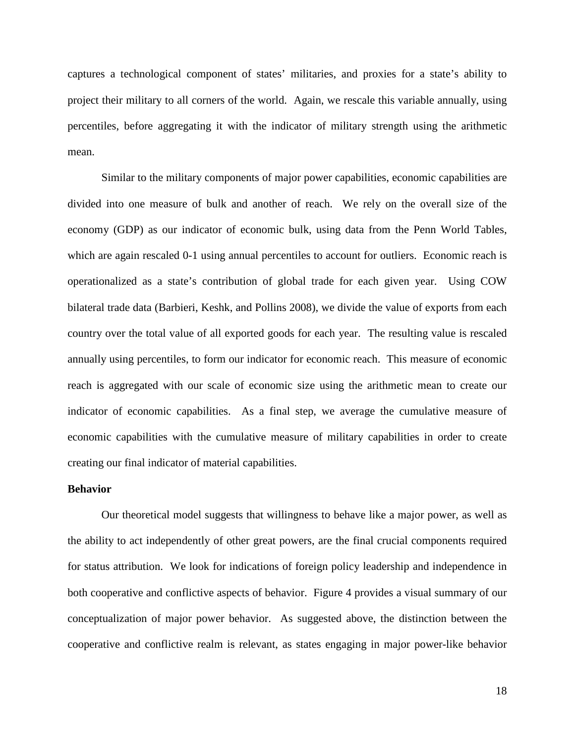captures a technological component of states' militaries, and proxies for a state's ability to project their military to all corners of the world. Again, we rescale this variable annually, using percentiles, before aggregating it with the indicator of military strength using the arithmetic mean.

Similar to the military components of major power capabilities, economic capabilities are divided into one measure of bulk and another of reach. We rely on the overall size of the economy (GDP) as our indicator of economic bulk, using data from the Penn World Tables, which are again rescaled 0-1 using annual percentiles to account for outliers. Economic reach is operationalized as a state's contribution of global trade for each given year. Using COW bilateral trade data (Barbieri, Keshk, and Pollins 2008), we divide the value of exports from each country over the total value of all exported goods for each year. The resulting value is rescaled annually using percentiles, to form our indicator for economic reach. This measure of economic reach is aggregated with our scale of economic size using the arithmetic mean to create our indicator of economic capabilities. As a final step, we average the cumulative measure of economic capabilities with the cumulative measure of military capabilities in order to create creating our final indicator of material capabilities.

#### **Behavior**

Our theoretical model suggests that willingness to behave like a major power, as well as the ability to act independently of other great powers, are the final crucial components required for status attribution. We look for indications of foreign policy leadership and independence in both cooperative and conflictive aspects of behavior. Figure 4 provides a visual summary of our conceptualization of major power behavior. As suggested above, the distinction between the cooperative and conflictive realm is relevant, as states engaging in major power-like behavior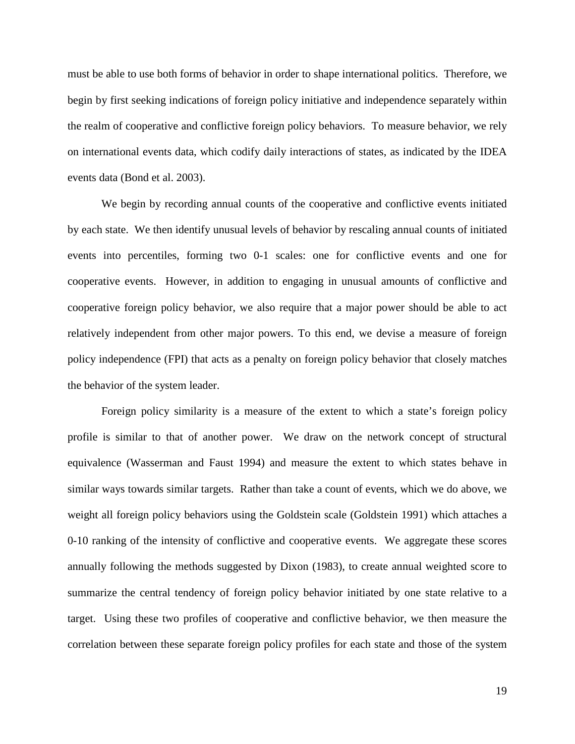must be able to use both forms of behavior in order to shape international politics. Therefore, we begin by first seeking indications of foreign policy initiative and independence separately within the realm of cooperative and conflictive foreign policy behaviors. To measure behavior, we rely on international events data, which codify daily interactions of states, as indicated by the IDEA events data (Bond et al. 2003).

We begin by recording annual counts of the cooperative and conflictive events initiated by each state. We then identify unusual levels of behavior by rescaling annual counts of initiated events into percentiles, forming two 0-1 scales: one for conflictive events and one for cooperative events. However, in addition to engaging in unusual amounts of conflictive and cooperative foreign policy behavior, we also require that a major power should be able to act relatively independent from other major powers. To this end, we devise a measure of foreign policy independence (FPI) that acts as a penalty on foreign policy behavior that closely matches the behavior of the system leader.

Foreign policy similarity is a measure of the extent to which a state's foreign policy profile is similar to that of another power. We draw on the network concept of structural equivalence (Wasserman and Faust 1994) and measure the extent to which states behave in similar ways towards similar targets. Rather than take a count of events, which we do above, we weight all foreign policy behaviors using the Goldstein scale (Goldstein 1991) which attaches a 0-10 ranking of the intensity of conflictive and cooperative events. We aggregate these scores annually following the methods suggested by Dixon (1983), to create annual weighted score to summarize the central tendency of foreign policy behavior initiated by one state relative to a target. Using these two profiles of cooperative and conflictive behavior, we then measure the correlation between these separate foreign policy profiles for each state and those of the system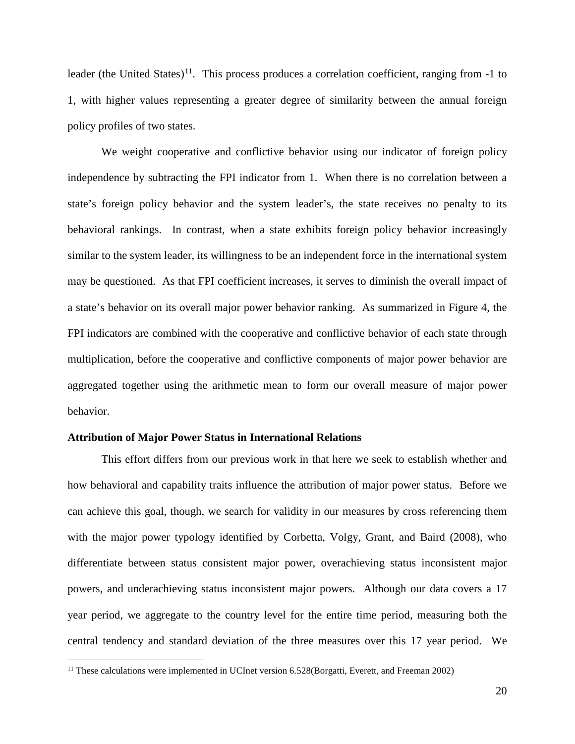leader (the United States)<sup>[11](#page-20-0)</sup>. This process produces a correlation coefficient, ranging from  $-1$  to 1, with higher values representing a greater degree of similarity between the annual foreign policy profiles of two states.

We weight cooperative and conflictive behavior using our indicator of foreign policy independence by subtracting the FPI indicator from 1. When there is no correlation between a state's foreign policy behavior and the system leader's, the state receives no penalty to its behavioral rankings. In contrast, when a state exhibits foreign policy behavior increasingly similar to the system leader, its willingness to be an independent force in the international system may be questioned. As that FPI coefficient increases, it serves to diminish the overall impact of a state's behavior on its overall major power behavior ranking. As summarized in Figure 4, the FPI indicators are combined with the cooperative and conflictive behavior of each state through multiplication, before the cooperative and conflictive components of major power behavior are aggregated together using the arithmetic mean to form our overall measure of major power behavior.

#### **Attribution of Major Power Status in International Relations**

This effort differs from our previous work in that here we seek to establish whether and how behavioral and capability traits influence the attribution of major power status. Before we can achieve this goal, though, we search for validity in our measures by cross referencing them with the major power typology identified by Corbetta, Volgy, Grant, and Baird (2008), who differentiate between status consistent major power, overachieving status inconsistent major powers, and underachieving status inconsistent major powers. Although our data covers a 17 year period, we aggregate to the country level for the entire time period, measuring both the central tendency and standard deviation of the three measures over this 17 year period. We

<span id="page-20-0"></span><sup>&</sup>lt;sup>11</sup> These calculations were implemented in UCInet version 6.528(Borgatti, Everett, and Freeman 2002)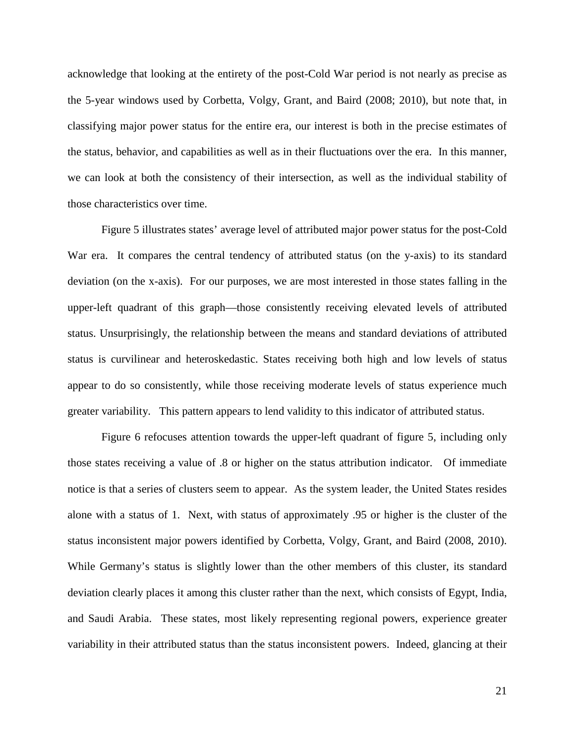acknowledge that looking at the entirety of the post-Cold War period is not nearly as precise as the 5-year windows used by Corbetta, Volgy, Grant, and Baird (2008; 2010), but note that, in classifying major power status for the entire era, our interest is both in the precise estimates of the status, behavior, and capabilities as well as in their fluctuations over the era. In this manner, we can look at both the consistency of their intersection, as well as the individual stability of those characteristics over time.

Figure 5 illustrates states' average level of attributed major power status for the post-Cold War era. It compares the central tendency of attributed status (on the y-axis) to its standard deviation (on the x-axis). For our purposes, we are most interested in those states falling in the upper-left quadrant of this graph—those consistently receiving elevated levels of attributed status. Unsurprisingly, the relationship between the means and standard deviations of attributed status is curvilinear and heteroskedastic. States receiving both high and low levels of status appear to do so consistently, while those receiving moderate levels of status experience much greater variability. This pattern appears to lend validity to this indicator of attributed status.

Figure 6 refocuses attention towards the upper-left quadrant of figure 5, including only those states receiving a value of .8 or higher on the status attribution indicator. Of immediate notice is that a series of clusters seem to appear. As the system leader, the United States resides alone with a status of 1. Next, with status of approximately .95 or higher is the cluster of the status inconsistent major powers identified by Corbetta, Volgy, Grant, and Baird (2008, 2010). While Germany's status is slightly lower than the other members of this cluster, its standard deviation clearly places it among this cluster rather than the next, which consists of Egypt, India, and Saudi Arabia. These states, most likely representing regional powers, experience greater variability in their attributed status than the status inconsistent powers. Indeed, glancing at their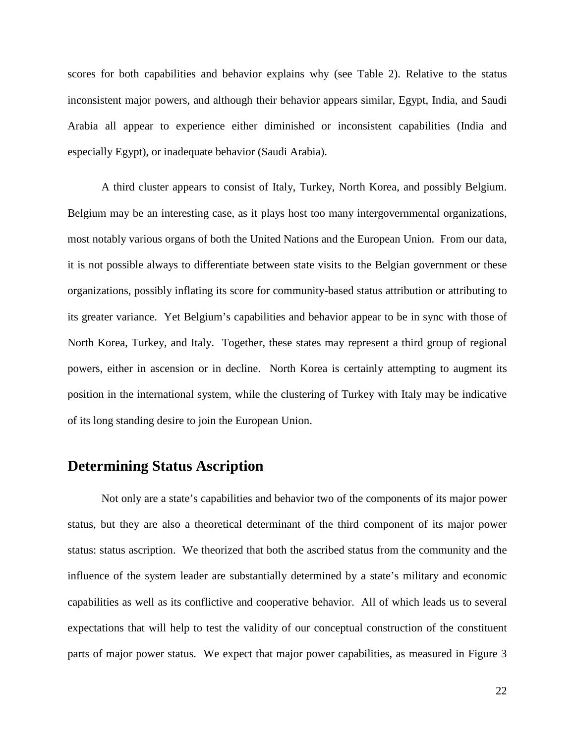scores for both capabilities and behavior explains why (see Table 2). Relative to the status inconsistent major powers, and although their behavior appears similar, Egypt, India, and Saudi Arabia all appear to experience either diminished or inconsistent capabilities (India and especially Egypt), or inadequate behavior (Saudi Arabia).

A third cluster appears to consist of Italy, Turkey, North Korea, and possibly Belgium. Belgium may be an interesting case, as it plays host too many intergovernmental organizations, most notably various organs of both the United Nations and the European Union. From our data, it is not possible always to differentiate between state visits to the Belgian government or these organizations, possibly inflating its score for community-based status attribution or attributing to its greater variance. Yet Belgium's capabilities and behavior appear to be in sync with those of North Korea, Turkey, and Italy. Together, these states may represent a third group of regional powers, either in ascension or in decline. North Korea is certainly attempting to augment its position in the international system, while the clustering of Turkey with Italy may be indicative of its long standing desire to join the European Union.

# **Determining Status Ascription**

Not only are a state's capabilities and behavior two of the components of its major power status, but they are also a theoretical determinant of the third component of its major power status: status ascription. We theorized that both the ascribed status from the community and the influence of the system leader are substantially determined by a state's military and economic capabilities as well as its conflictive and cooperative behavior. All of which leads us to several expectations that will help to test the validity of our conceptual construction of the constituent parts of major power status. We expect that major power capabilities, as measured in Figure 3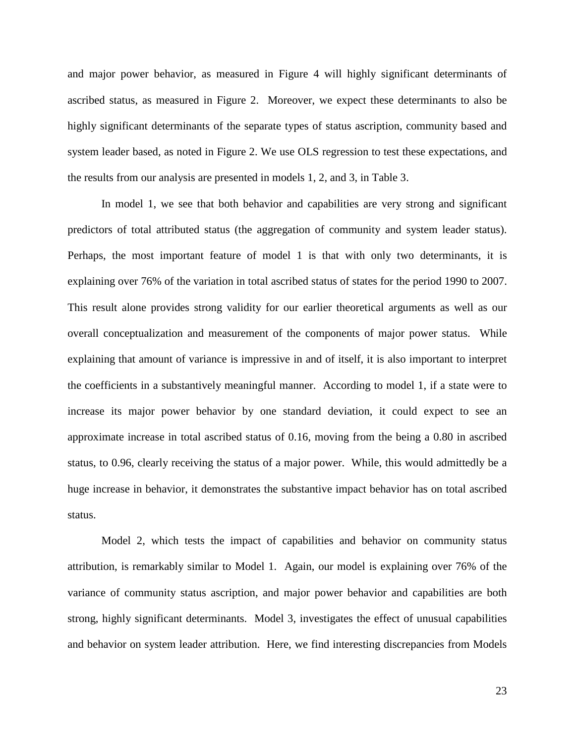and major power behavior, as measured in Figure 4 will highly significant determinants of ascribed status, as measured in Figure 2. Moreover, we expect these determinants to also be highly significant determinants of the separate types of status ascription, community based and system leader based, as noted in Figure 2. We use OLS regression to test these expectations, and the results from our analysis are presented in models 1, 2, and 3, in Table 3.

In model 1, we see that both behavior and capabilities are very strong and significant predictors of total attributed status (the aggregation of community and system leader status). Perhaps, the most important feature of model 1 is that with only two determinants, it is explaining over 76% of the variation in total ascribed status of states for the period 1990 to 2007. This result alone provides strong validity for our earlier theoretical arguments as well as our overall conceptualization and measurement of the components of major power status. While explaining that amount of variance is impressive in and of itself, it is also important to interpret the coefficients in a substantively meaningful manner. According to model 1, if a state were to increase its major power behavior by one standard deviation, it could expect to see an approximate increase in total ascribed status of 0.16, moving from the being a 0.80 in ascribed status, to 0.96, clearly receiving the status of a major power. While, this would admittedly be a huge increase in behavior, it demonstrates the substantive impact behavior has on total ascribed status.

Model 2, which tests the impact of capabilities and behavior on community status attribution, is remarkably similar to Model 1. Again, our model is explaining over 76% of the variance of community status ascription, and major power behavior and capabilities are both strong, highly significant determinants. Model 3, investigates the effect of unusual capabilities and behavior on system leader attribution. Here, we find interesting discrepancies from Models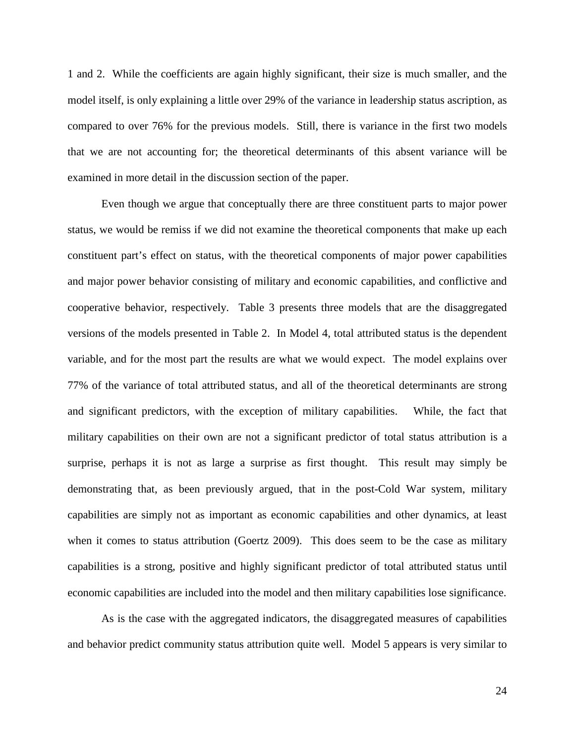1 and 2. While the coefficients are again highly significant, their size is much smaller, and the model itself, is only explaining a little over 29% of the variance in leadership status ascription, as compared to over 76% for the previous models. Still, there is variance in the first two models that we are not accounting for; the theoretical determinants of this absent variance will be examined in more detail in the discussion section of the paper.

Even though we argue that conceptually there are three constituent parts to major power status, we would be remiss if we did not examine the theoretical components that make up each constituent part's effect on status, with the theoretical components of major power capabilities and major power behavior consisting of military and economic capabilities, and conflictive and cooperative behavior, respectively. Table 3 presents three models that are the disaggregated versions of the models presented in Table 2. In Model 4, total attributed status is the dependent variable, and for the most part the results are what we would expect. The model explains over 77% of the variance of total attributed status, and all of the theoretical determinants are strong and significant predictors, with the exception of military capabilities. While, the fact that military capabilities on their own are not a significant predictor of total status attribution is a surprise, perhaps it is not as large a surprise as first thought. This result may simply be demonstrating that, as been previously argued, that in the post-Cold War system, military capabilities are simply not as important as economic capabilities and other dynamics, at least when it comes to status attribution (Goertz 2009). This does seem to be the case as military capabilities is a strong, positive and highly significant predictor of total attributed status until economic capabilities are included into the model and then military capabilities lose significance.

As is the case with the aggregated indicators, the disaggregated measures of capabilities and behavior predict community status attribution quite well. Model 5 appears is very similar to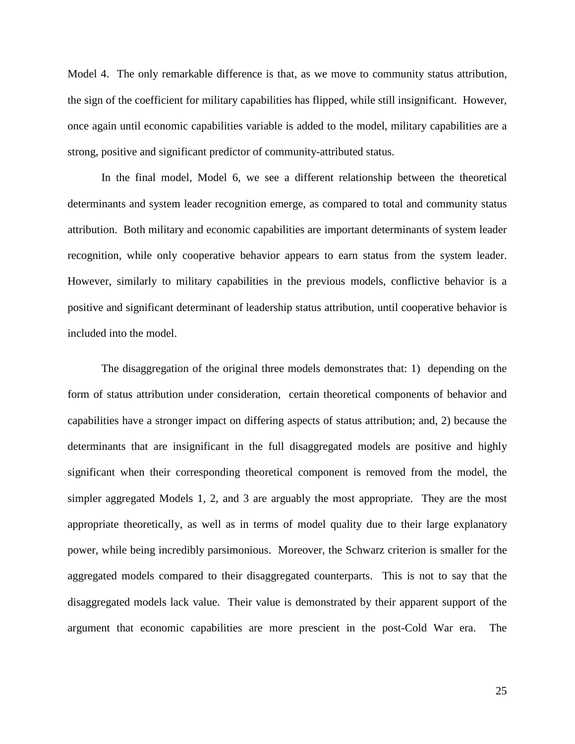Model 4. The only remarkable difference is that, as we move to community status attribution, the sign of the coefficient for military capabilities has flipped, while still insignificant. However, once again until economic capabilities variable is added to the model, military capabilities are a strong, positive and significant predictor of community-attributed status.

In the final model, Model 6, we see a different relationship between the theoretical determinants and system leader recognition emerge, as compared to total and community status attribution. Both military and economic capabilities are important determinants of system leader recognition, while only cooperative behavior appears to earn status from the system leader. However, similarly to military capabilities in the previous models, conflictive behavior is a positive and significant determinant of leadership status attribution, until cooperative behavior is included into the model.

The disaggregation of the original three models demonstrates that: 1) depending on the form of status attribution under consideration, certain theoretical components of behavior and capabilities have a stronger impact on differing aspects of status attribution; and, 2) because the determinants that are insignificant in the full disaggregated models are positive and highly significant when their corresponding theoretical component is removed from the model, the simpler aggregated Models 1, 2, and 3 are arguably the most appropriate. They are the most appropriate theoretically, as well as in terms of model quality due to their large explanatory power, while being incredibly parsimonious. Moreover, the Schwarz criterion is smaller for the aggregated models compared to their disaggregated counterparts. This is not to say that the disaggregated models lack value. Their value is demonstrated by their apparent support of the argument that economic capabilities are more prescient in the post-Cold War era. The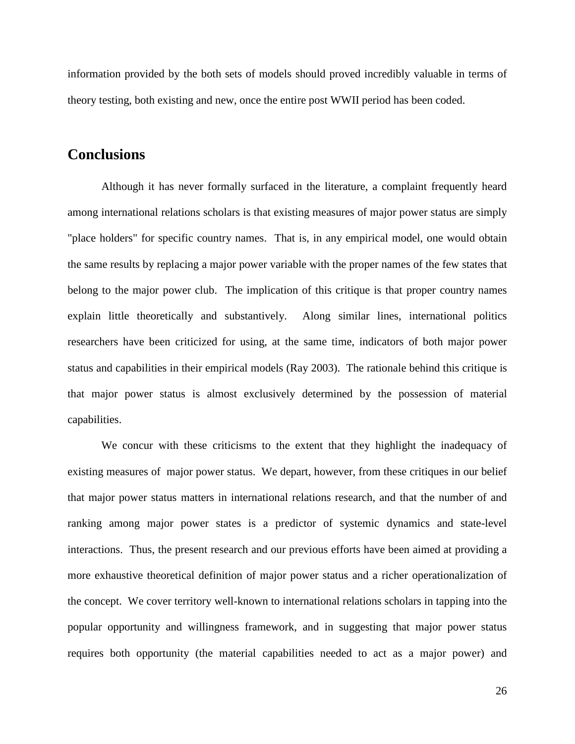information provided by the both sets of models should proved incredibly valuable in terms of theory testing, both existing and new, once the entire post WWII period has been coded.

# **Conclusions**

Although it has never formally surfaced in the literature, a complaint frequently heard among international relations scholars is that existing measures of major power status are simply "place holders" for specific country names. That is, in any empirical model, one would obtain the same results by replacing a major power variable with the proper names of the few states that belong to the major power club. The implication of this critique is that proper country names explain little theoretically and substantively. Along similar lines, international politics researchers have been criticized for using, at the same time, indicators of both major power status and capabilities in their empirical models (Ray 2003). The rationale behind this critique is that major power status is almost exclusively determined by the possession of material capabilities.

We concur with these criticisms to the extent that they highlight the inadequacy of existing measures of major power status. We depart, however, from these critiques in our belief that major power status matters in international relations research, and that the number of and ranking among major power states is a predictor of systemic dynamics and state-level interactions. Thus, the present research and our previous efforts have been aimed at providing a more exhaustive theoretical definition of major power status and a richer operationalization of the concept. We cover territory well-known to international relations scholars in tapping into the popular opportunity and willingness framework, and in suggesting that major power status requires both opportunity (the material capabilities needed to act as a major power) and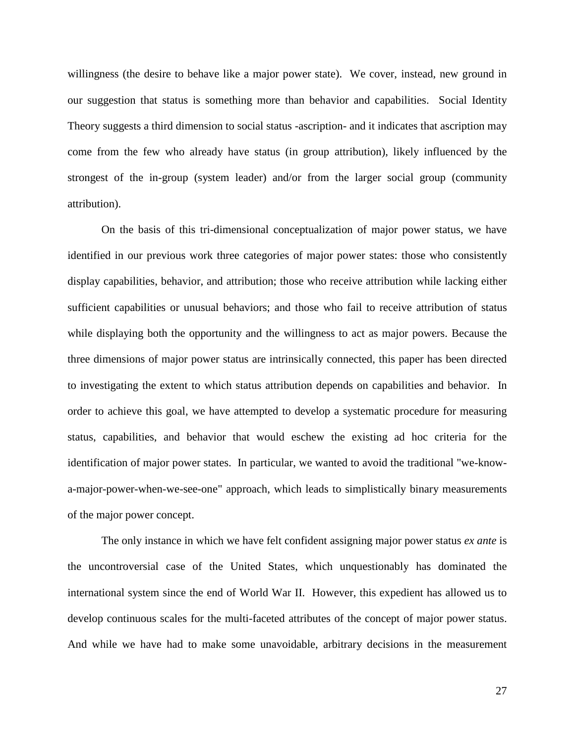willingness (the desire to behave like a major power state). We cover, instead, new ground in our suggestion that status is something more than behavior and capabilities. Social Identity Theory suggests a third dimension to social status -ascription- and it indicates that ascription may come from the few who already have status (in group attribution), likely influenced by the strongest of the in-group (system leader) and/or from the larger social group (community attribution).

On the basis of this tri-dimensional conceptualization of major power status, we have identified in our previous work three categories of major power states: those who consistently display capabilities, behavior, and attribution; those who receive attribution while lacking either sufficient capabilities or unusual behaviors; and those who fail to receive attribution of status while displaying both the opportunity and the willingness to act as major powers. Because the three dimensions of major power status are intrinsically connected, this paper has been directed to investigating the extent to which status attribution depends on capabilities and behavior. In order to achieve this goal, we have attempted to develop a systematic procedure for measuring status, capabilities, and behavior that would eschew the existing ad hoc criteria for the identification of major power states. In particular, we wanted to avoid the traditional "we-knowa-major-power-when-we-see-one" approach, which leads to simplistically binary measurements of the major power concept.

The only instance in which we have felt confident assigning major power status *ex ante* is the uncontroversial case of the United States, which unquestionably has dominated the international system since the end of World War II. However, this expedient has allowed us to develop continuous scales for the multi-faceted attributes of the concept of major power status. And while we have had to make some unavoidable, arbitrary decisions in the measurement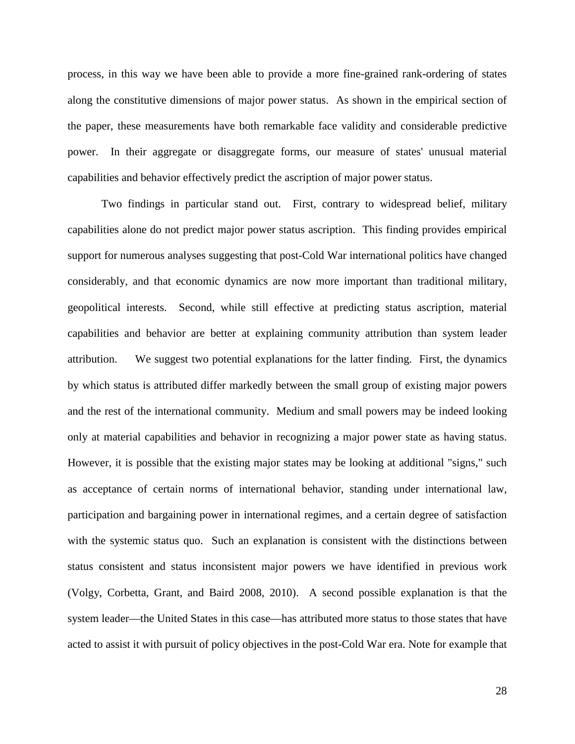process, in this way we have been able to provide a more fine-grained rank-ordering of states along the constitutive dimensions of major power status. As shown in the empirical section of the paper, these measurements have both remarkable face validity and considerable predictive power. In their aggregate or disaggregate forms, our measure of states' unusual material capabilities and behavior effectively predict the ascription of major power status.

Two findings in particular stand out. First, contrary to widespread belief, military capabilities alone do not predict major power status ascription. This finding provides empirical support for numerous analyses suggesting that post-Cold War international politics have changed considerably, and that economic dynamics are now more important than traditional military, geopolitical interests. Second, while still effective at predicting status ascription, material capabilities and behavior are better at explaining community attribution than system leader attribution. We suggest two potential explanations for the latter finding. First, the dynamics by which status is attributed differ markedly between the small group of existing major powers and the rest of the international community. Medium and small powers may be indeed looking only at material capabilities and behavior in recognizing a major power state as having status. However, it is possible that the existing major states may be looking at additional "signs," such as acceptance of certain norms of international behavior, standing under international law, participation and bargaining power in international regimes, and a certain degree of satisfaction with the systemic status quo. Such an explanation is consistent with the distinctions between status consistent and status inconsistent major powers we have identified in previous work (Volgy, Corbetta, Grant, and Baird 2008, 2010). A second possible explanation is that the system leader—the United States in this case—has attributed more status to those states that have acted to assist it with pursuit of policy objectives in the post-Cold War era. Note for example that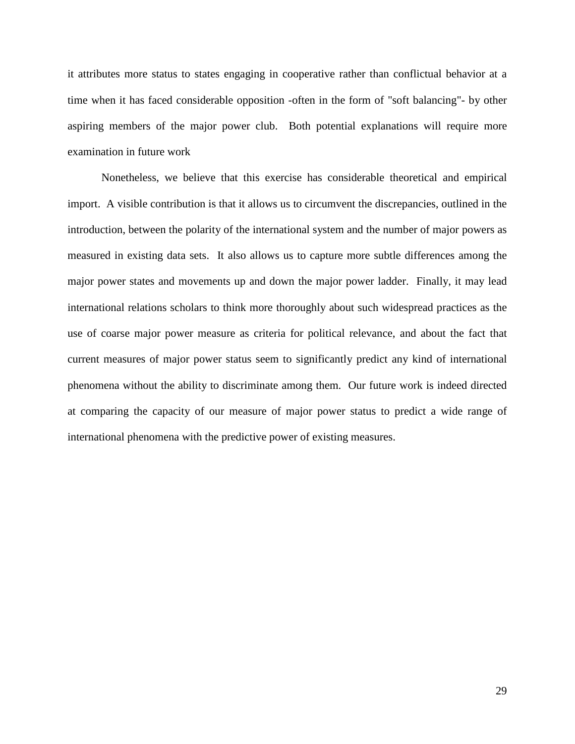it attributes more status to states engaging in cooperative rather than conflictual behavior at a time when it has faced considerable opposition -often in the form of "soft balancing"- by other aspiring members of the major power club. Both potential explanations will require more examination in future work

Nonetheless, we believe that this exercise has considerable theoretical and empirical import. A visible contribution is that it allows us to circumvent the discrepancies, outlined in the introduction, between the polarity of the international system and the number of major powers as measured in existing data sets. It also allows us to capture more subtle differences among the major power states and movements up and down the major power ladder. Finally, it may lead international relations scholars to think more thoroughly about such widespread practices as the use of coarse major power measure as criteria for political relevance, and about the fact that current measures of major power status seem to significantly predict any kind of international phenomena without the ability to discriminate among them. Our future work is indeed directed at comparing the capacity of our measure of major power status to predict a wide range of international phenomena with the predictive power of existing measures.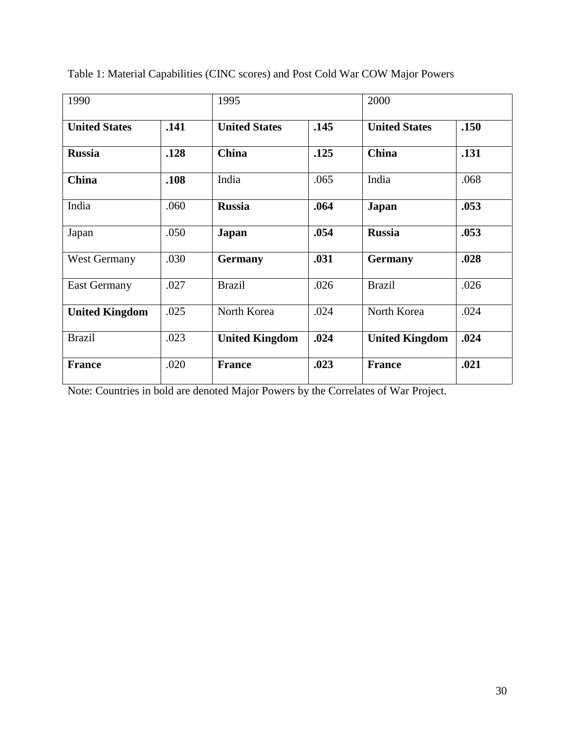| 1990                  |      | 1995                  |      | 2000                  |      |
|-----------------------|------|-----------------------|------|-----------------------|------|
| <b>United States</b>  | .141 | <b>United States</b>  | .145 | <b>United States</b>  | .150 |
| <b>Russia</b>         | .128 | <b>China</b>          | .125 | China                 | .131 |
| <b>China</b>          | .108 | India                 | .065 | India                 | .068 |
| India                 | .060 | <b>Russia</b>         | .064 | Japan                 | .053 |
| Japan                 | .050 | Japan                 | .054 | <b>Russia</b>         | .053 |
| <b>West Germany</b>   | .030 | <b>Germany</b>        | .031 | <b>Germany</b>        | .028 |
| <b>East Germany</b>   | .027 | <b>Brazil</b>         | .026 | <b>Brazil</b>         | .026 |
| <b>United Kingdom</b> | .025 | North Korea           | .024 | North Korea           | .024 |
| <b>Brazil</b>         | .023 | <b>United Kingdom</b> | .024 | <b>United Kingdom</b> | .024 |
| <b>France</b>         | .020 | <b>France</b>         | .023 | <b>France</b>         | .021 |

Table 1: Material Capabilities (CINC scores) and Post Cold War COW Major Powers

Note: Countries in bold are denoted Major Powers by the Correlates of War Project.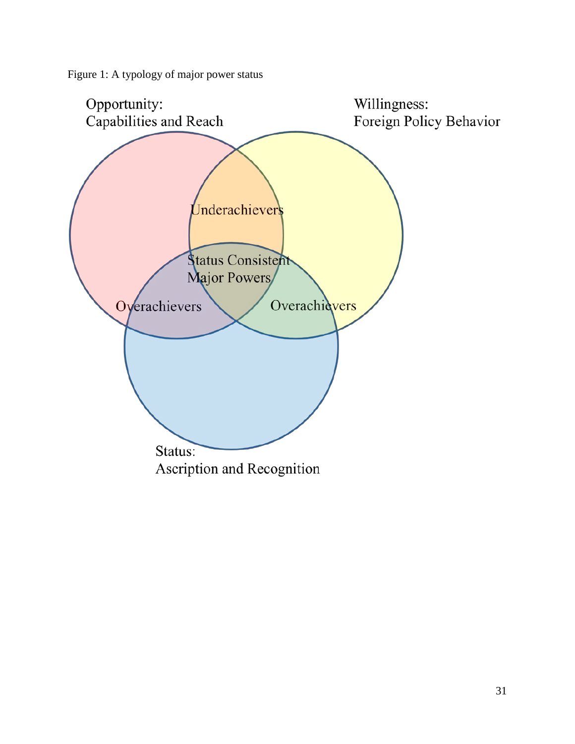Figure 1: A typology of major power status

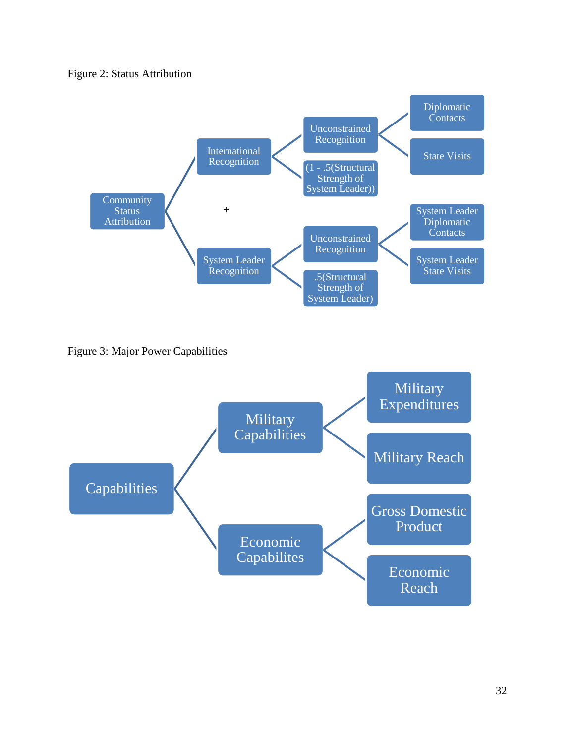# Figure 2: Status Attribution



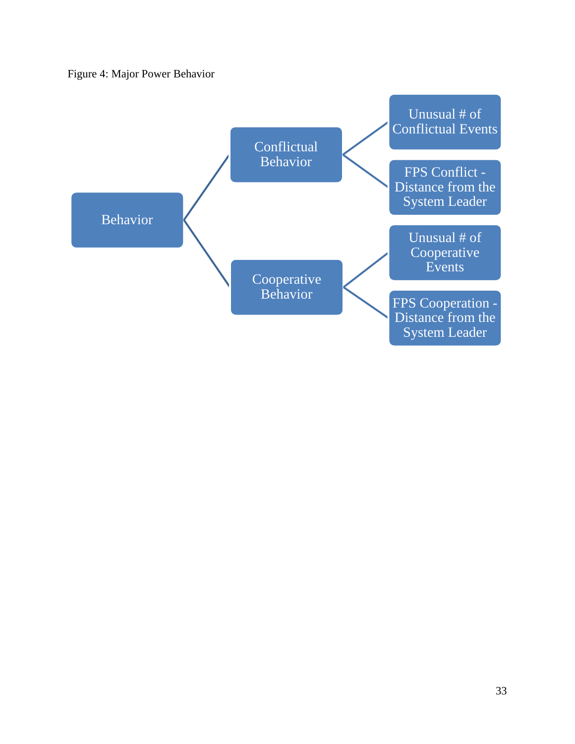# Figure 4: Major Power Behavior

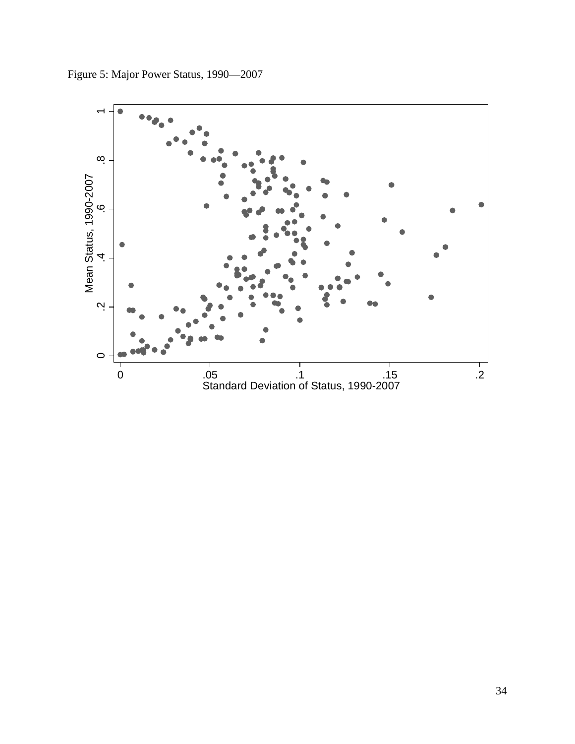

Figure 5: Major Power Status, 1990—2007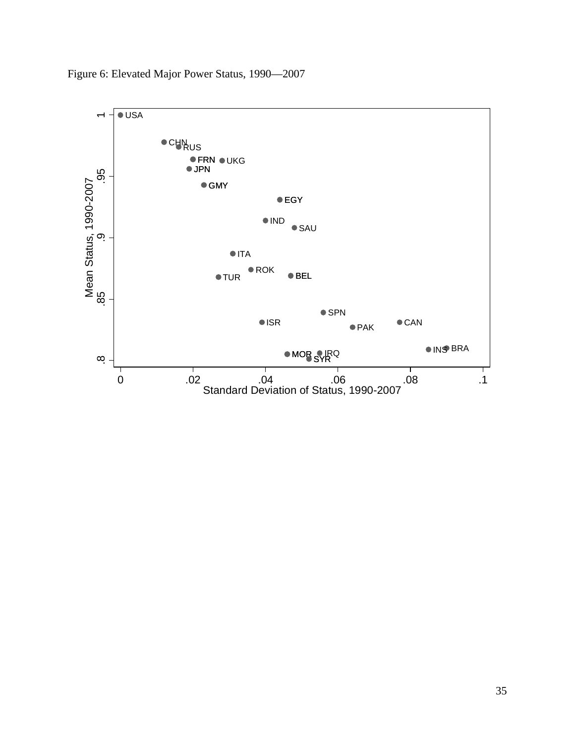

Figure 6: Elevated Major Power Status, 1990—2007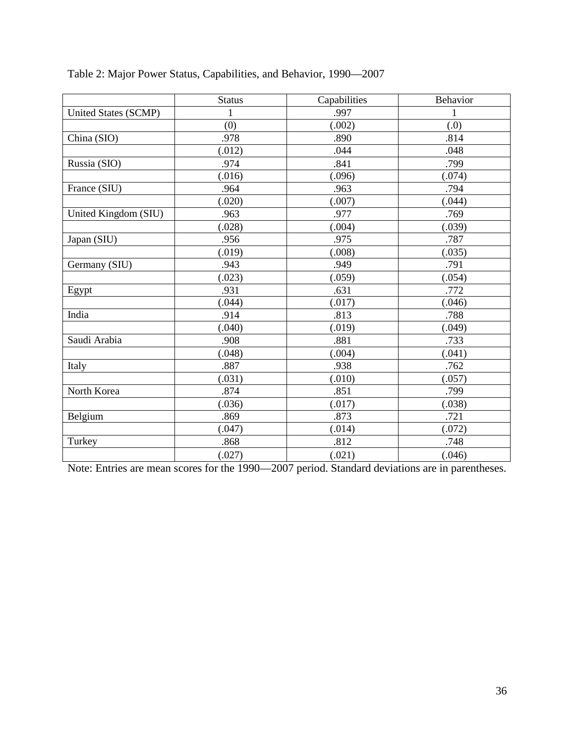|                      | <b>Status</b> | Capabilities | Behavior     |
|----------------------|---------------|--------------|--------------|
| United States (SCMP) | 1             | .997         | $\mathbf{1}$ |
|                      | (0)           | (.002)       | (0.)         |
| China (SIO)          | .978          | .890         | .814         |
|                      | (.012)        | .044         | .048         |
| Russia (SIO)         | .974          | .841         | .799         |
|                      | (.016)        | (.096)       | (.074)       |
| France (SIU)         | .964          | .963         | .794         |
|                      | (.020)        | (.007)       | (.044)       |
| United Kingdom (SIU) | .963          | .977         | .769         |
|                      | (.028)        | (.004)       | (.039)       |
| Japan (SIU)          | .956          | .975         | .787         |
|                      | (.019)        | (.008)       | (.035)       |
| Germany (SIU)        | .943          | .949         | .791         |
|                      | (.023)        | (.059)       | (.054)       |
| Egypt                | .931          | .631         | .772         |
|                      | (.044)        | (.017)       | (.046)       |
| India                | .914          | .813         | .788         |
|                      | (.040)        | (.019)       | (.049)       |
| Saudi Arabia         | .908          | .881         | .733         |
|                      | (.048)        | (.004)       | (.041)       |
| Italy                | .887          | .938         | .762         |
|                      | (.031)        | (.010)       | (.057)       |
| North Korea          | .874          | .851         | .799         |
|                      | (.036)        | (.017)       | (.038)       |
| Belgium              | .869          | .873         | .721         |
|                      | (.047)        | (.014)       | (.072)       |
| Turkey               | .868          | .812         | .748         |
|                      | (.027)        | (.021)       | (.046)       |

Table 2: Major Power Status, Capabilities, and Behavior, 1990—2007

Note: Entries are mean scores for the 1990—2007 period. Standard deviations are in parentheses.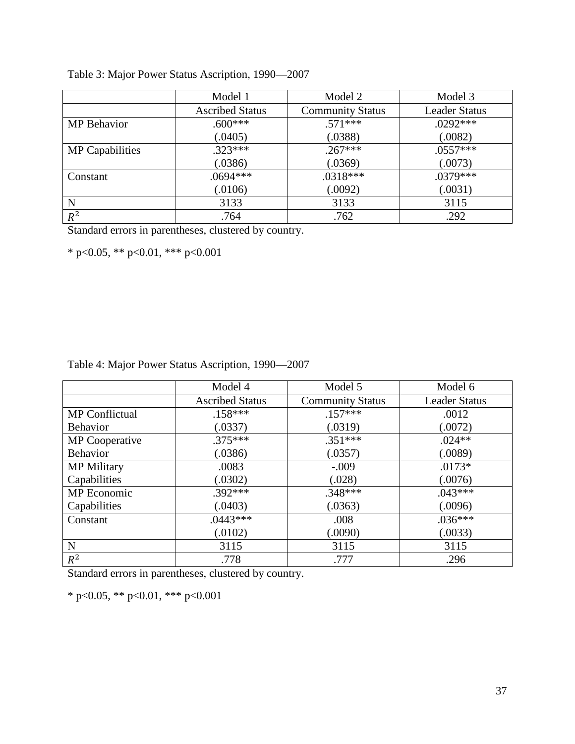|                        | Model 1                | Model 2                 | Model 3              |
|------------------------|------------------------|-------------------------|----------------------|
|                        | <b>Ascribed Status</b> | <b>Community Status</b> | <b>Leader Status</b> |
| MP Behavior            | $.600***$              | $.571***$               | $.0292***$           |
|                        | (.0405)                | (.0388)                 | (.0082)              |
| <b>MP</b> Capabilities | $.323***$              | $.267***$               | $.0557***$           |
|                        | (.0386)                | (.0369)                 | (.0073)              |
| Constant               | $.0694***$             | $.0318***$              | $.0379***$           |
|                        | (.0106)                | (.0092)                 | (.0031)              |
| N                      | 3133                   | 3133                    | 3115                 |
| $R^2$                  | .764                   | .762                    | .292                 |

Table 3: Major Power Status Ascription, 1990—2007

Standard errors in parentheses, clustered by country.

\* p<0.05, \*\* p<0.01, \*\*\* p<0.001

| Table 4: Major Power Status Ascription, 1990-2007 |  |  |  |  |  |
|---------------------------------------------------|--|--|--|--|--|
|---------------------------------------------------|--|--|--|--|--|

|                       | Model 4                | Model 5                 | Model 6              |
|-----------------------|------------------------|-------------------------|----------------------|
|                       | <b>Ascribed Status</b> | <b>Community Status</b> | <b>Leader Status</b> |
| <b>MP</b> Conflictual | $.158***$              | $.157***$               | .0012                |
| <b>Behavior</b>       | (.0337)                | (.0319)                 | (.0072)              |
| <b>MP</b> Cooperative | $.375***$              | $.351***$               | $.024**$             |
| <b>Behavior</b>       | (.0386)                | (.0357)                 | (.0089)              |
| <b>MP</b> Military    | .0083                  | $-.009$                 | $.0173*$             |
| Capabilities          | (.0302)                | (.028)                  | (.0076)              |
| MP Economic           | $.392***$              | $.348***$               | $.043***$            |
| Capabilities          | (.0403)                | (.0363)                 | (.0096)              |
| Constant              | $.0443***$             | .008                    | $.036***$            |
|                       | (.0102)                | (.0090)                 | (.0033)              |
| N                     | 3115                   | 3115                    | 3115                 |
| $R^2$                 | .778                   | .777                    | .296                 |

Standard errors in parentheses, clustered by country.

\* p<0.05, \*\* p<0.01, \*\*\* p<0.001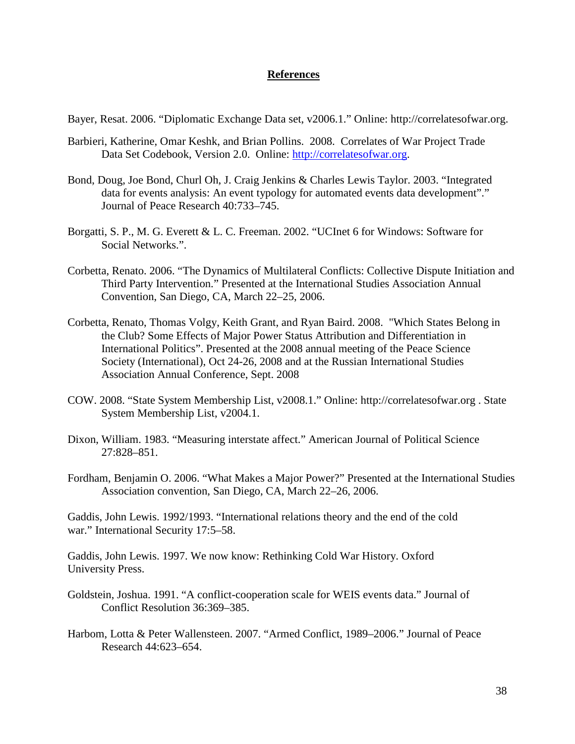# **References**

Bayer, Resat. 2006. "Diplomatic Exchange Data set, v2006.1." Online: http://correlatesofwar.org.

- Barbieri, Katherine, Omar Keshk, and Brian Pollins. 2008. Correlates of War Project Trade Data Set Codebook, Version 2.0. Online: [http://correlatesofwar.org.](http://correlatesofwar.org/)
- Bond, Doug, Joe Bond, Churl Oh, J. Craig Jenkins & Charles Lewis Taylor. 2003. "Integrated data for events analysis: An event typology for automated events data development"." Journal of Peace Research 40:733–745.
- Borgatti, S. P., M. G. Everett & L. C. Freeman. 2002. "UCInet 6 for Windows: Software for Social Networks.".
- Corbetta, Renato. 2006. "The Dynamics of Multilateral Conflicts: Collective Dispute Initiation and Third Party Intervention." Presented at the International Studies Association Annual Convention, San Diego, CA, March 22–25, 2006.
- Corbetta, Renato, Thomas Volgy, Keith Grant, and Ryan Baird. 2008. "Which States Belong in the Club? Some Effects of Major Power Status Attribution and Differentiation in International Politics". Presented at the 2008 annual meeting of the Peace Science Society (International), Oct 24-26, 2008 and at the Russian International Studies Association Annual Conference, Sept. 2008
- COW. 2008. "State System Membership List, v2008.1." Online: http://correlatesofwar.org . State System Membership List, v2004.1.
- Dixon, William. 1983. "Measuring interstate affect." American Journal of Political Science 27:828–851.
- Fordham, Benjamin O. 2006. "What Makes a Major Power?" Presented at the International Studies Association convention, San Diego, CA, March 22–26, 2006.

Gaddis, John Lewis. 1992/1993. "International relations theory and the end of the cold war." International Security 17:5–58.

Gaddis, John Lewis. 1997. We now know: Rethinking Cold War History. Oxford University Press.

- Goldstein, Joshua. 1991. "A conflict-cooperation scale for WEIS events data." Journal of Conflict Resolution 36:369–385.
- Harbom, Lotta & Peter Wallensteen. 2007. "Armed Conflict, 1989–2006." Journal of Peace Research 44:623–654.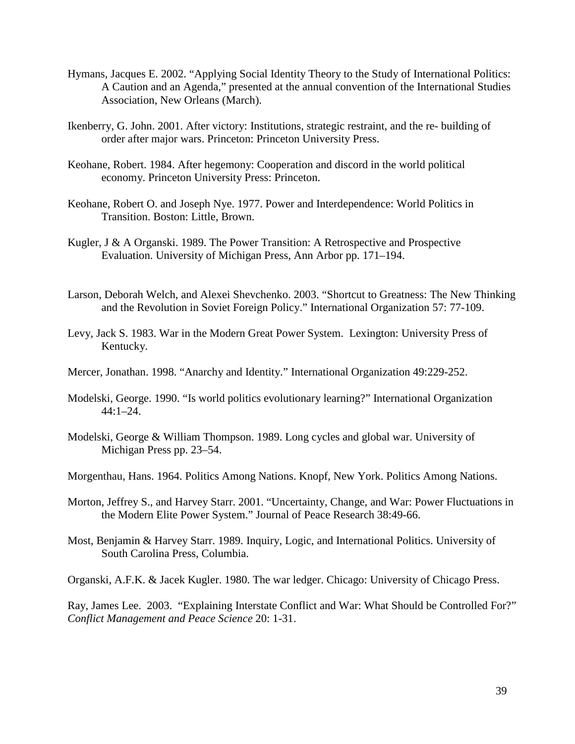- Hymans, Jacques E. 2002. "Applying Social Identity Theory to the Study of International Politics: A Caution and an Agenda," presented at the annual convention of the International Studies Association, New Orleans (March).
- Ikenberry, G. John. 2001. After victory: Institutions, strategic restraint, and the re- building of order after major wars. Princeton: Princeton University Press.
- Keohane, Robert. 1984. After hegemony: Cooperation and discord in the world political economy. Princeton University Press: Princeton.
- Keohane, Robert O. and Joseph Nye. 1977. Power and Interdependence: World Politics in Transition. Boston: Little, Brown.
- Kugler, J & A Organski. 1989. The Power Transition: A Retrospective and Prospective Evaluation. University of Michigan Press, Ann Arbor pp. 171–194.
- Larson, Deborah Welch, and Alexei Shevchenko. 2003. "Shortcut to Greatness: The New Thinking and the Revolution in Soviet Foreign Policy." International Organization 57: 77-109.
- Levy, Jack S. 1983. War in the Modern Great Power System. Lexington: University Press of Kentucky.
- Mercer, Jonathan. 1998. "Anarchy and Identity." International Organization 49:229-252.
- Modelski, George. 1990. "Is world politics evolutionary learning?" International Organization  $44:1-24.$
- Modelski, George & William Thompson. 1989. Long cycles and global war. University of Michigan Press pp. 23–54.
- Morgenthau, Hans. 1964. Politics Among Nations. Knopf, New York. Politics Among Nations.
- Morton, Jeffrey S., and Harvey Starr. 2001. "Uncertainty, Change, and War: Power Fluctuations in the Modern Elite Power System." Journal of Peace Research 38:49-66.
- Most, Benjamin & Harvey Starr. 1989. Inquiry, Logic, and International Politics. University of South Carolina Press, Columbia.

Organski, A.F.K. & Jacek Kugler. 1980. The war ledger. Chicago: University of Chicago Press.

Ray, James Lee. 2003. "Explaining Interstate Conflict and War: What Should be Controlled For?" *Conflict Management and Peace Science* 20: 1-31.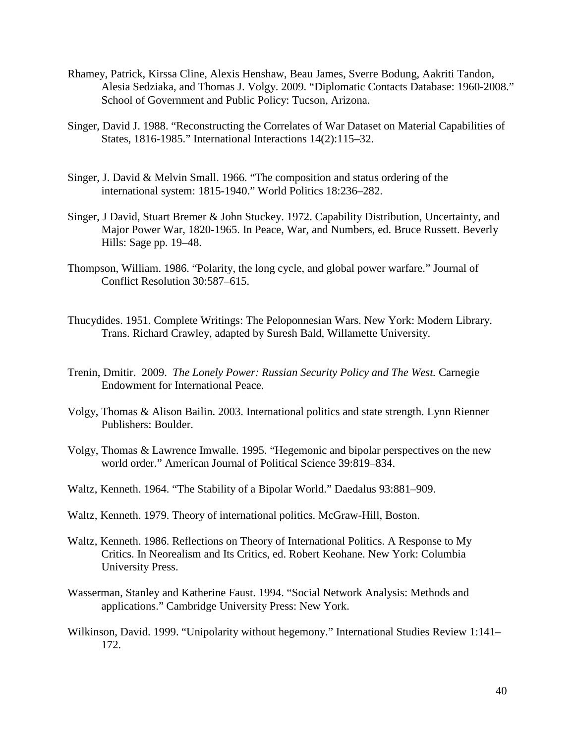- Rhamey, Patrick, Kirssa Cline, Alexis Henshaw, Beau James, Sverre Bodung, Aakriti Tandon, Alesia Sedziaka, and Thomas J. Volgy. 2009. "Diplomatic Contacts Database: 1960-2008." School of Government and Public Policy: Tucson, Arizona.
- Singer, David J. 1988. "Reconstructing the Correlates of War Dataset on Material Capabilities of States, 1816-1985." International Interactions 14(2):115–32.
- Singer, J. David & Melvin Small. 1966. "The composition and status ordering of the international system: 1815-1940." World Politics 18:236–282.
- Singer, J David, Stuart Bremer & John Stuckey. 1972. Capability Distribution, Uncertainty, and Major Power War, 1820-1965. In Peace, War, and Numbers, ed. Bruce Russett. Beverly Hills: Sage pp. 19–48.
- Thompson, William. 1986. "Polarity, the long cycle, and global power warfare." Journal of Conflict Resolution 30:587–615.
- Thucydides. 1951. Complete Writings: The Peloponnesian Wars. New York: Modern Library. Trans. Richard Crawley, adapted by Suresh Bald, Willamette University.
- Trenin, Dmitir. 2009. *The Lonely Power: Russian Security Policy and The West.* Carnegie Endowment for International Peace.
- Volgy, Thomas & Alison Bailin. 2003. International politics and state strength. Lynn Rienner Publishers: Boulder.
- Volgy, Thomas & Lawrence Imwalle. 1995. "Hegemonic and bipolar perspectives on the new world order." American Journal of Political Science 39:819–834.
- Waltz, Kenneth. 1964. "The Stability of a Bipolar World." Daedalus 93:881–909.
- Waltz, Kenneth. 1979. Theory of international politics. McGraw-Hill, Boston.
- Waltz, Kenneth. 1986. Reflections on Theory of International Politics. A Response to My Critics. In Neorealism and Its Critics, ed. Robert Keohane. New York: Columbia University Press.
- Wasserman, Stanley and Katherine Faust. 1994. "Social Network Analysis: Methods and applications." Cambridge University Press: New York.
- Wilkinson, David. 1999. "Unipolarity without hegemony." International Studies Review 1:141– 172.